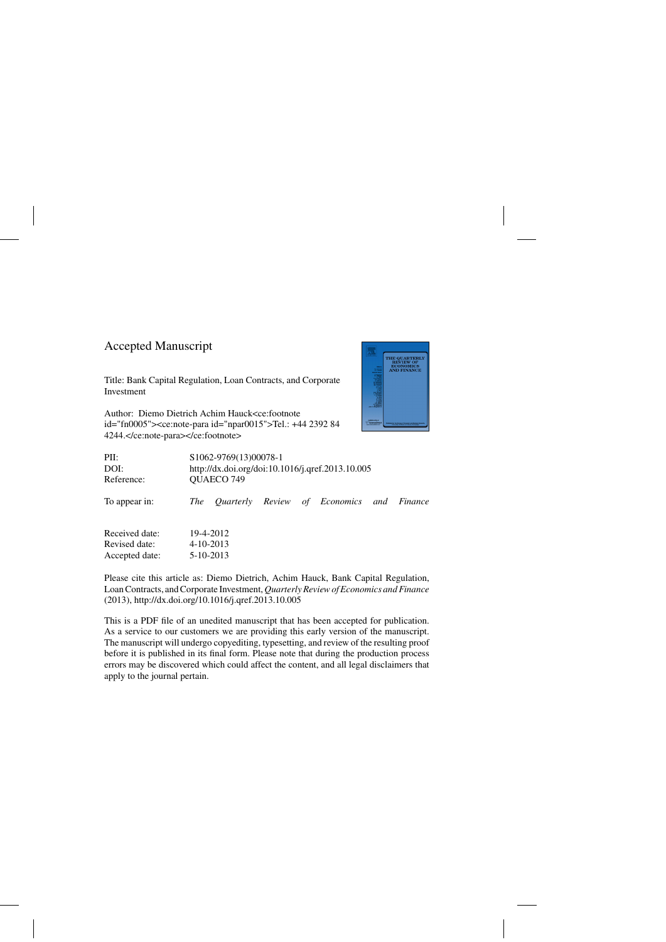### Accepted Manuscript

Title: Bank Capital Regulation, Loan Contracts, and Corporate Investment

Author: Diemo Dietrich Achim Hauck<ce:footnote id="fn0005"><ce:note-para id="npar0015">Tel.: +44 2392 84 4244.</ce:note-para></ce:footnote>



| PII:<br>DOI:<br>Reference:                        | S1062-9769(13)00078-1<br>http://dx.doi.org/doi:10.1016/j.qref.2013.10.005<br>QUAECO <sub>749</sub> |  |  |  |                                       |  |         |  |  |  |  |
|---------------------------------------------------|----------------------------------------------------------------------------------------------------|--|--|--|---------------------------------------|--|---------|--|--|--|--|
| To appear in:                                     |                                                                                                    |  |  |  | The Quarterly Review of Economics and |  | Finance |  |  |  |  |
| Received date:<br>Revised date:<br>Accepted date: | 19-4-2012<br>$4-10-2013$<br>$5-10-2013$                                                            |  |  |  |                                       |  |         |  |  |  |  |

Please cite this article as: Diemo Dietrich, Achim Hauck, Bank Capital Regulation, Loan Contracts, and Corporate Investment, *Quarterly Review of Economics and Finance* (2013),<http://dx.doi.org/10.1016/j.qref.2013.10.005>

This is a PDF file of an unedited manuscript that has been accepted for publication. As a service to our customers we are providing this early version of the manuscript. The manuscript will undergo copyediting, typesetting, and review of the resulting proof before it is published in its final form. Please note that during the production process errors may be discovered which could affect the content, and all legal disclaimers that apply to the journal pertain.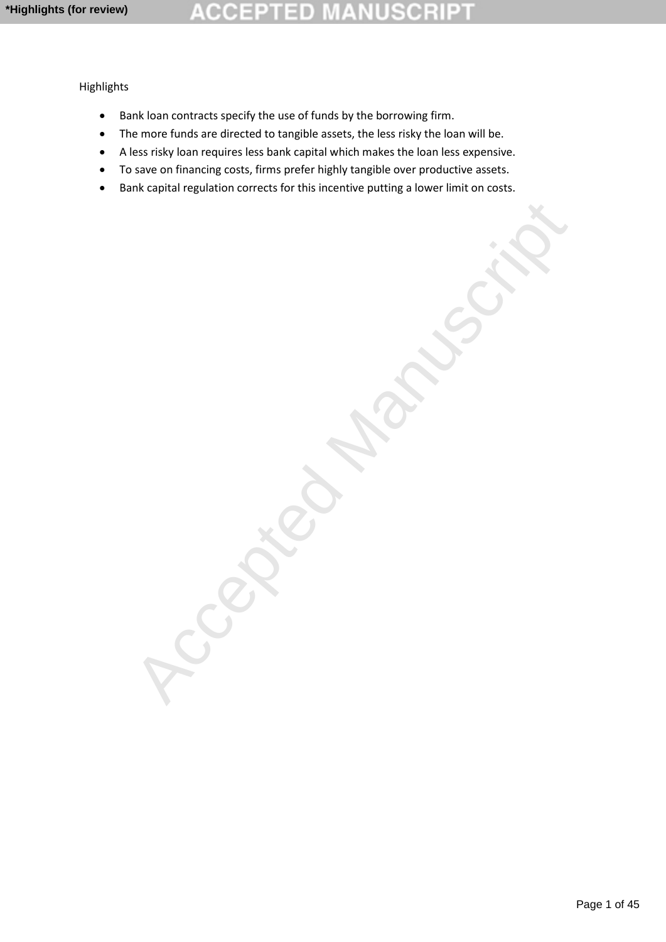### 10 P CIO

### Highlights

- Bank loan contracts specify the use of funds by the borrowing firm.
- The more funds are directed to tangible assets, the less risky the loan will be.
- A less risky loan requires less bank capital which makes the loan less expensive.
- To save on financing costs, firms prefer highly tangible over productive assets.
- Bank capital regulation corrects for this incentive putting a lower limit on costs.

Accepted Manuscript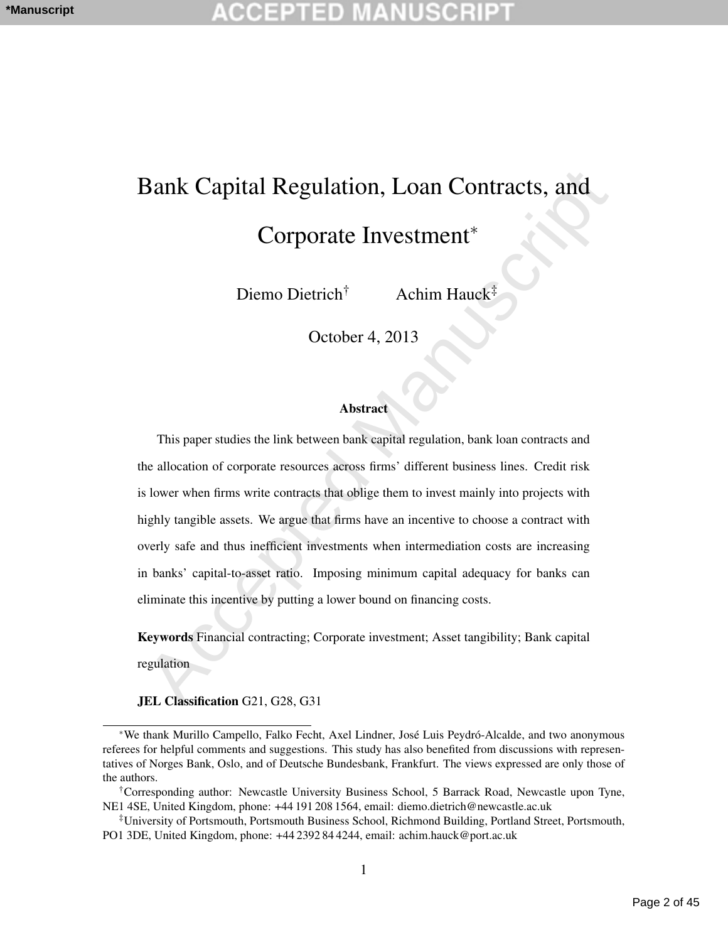# Bank Capital Regulation, Loan Contracts, and

# Corporate Investment<sup>∗</sup>

Diemo Dietrich<sup>†</sup> Achim Hauck<sup>‡</sup>

October 4, 2013

### Abstract

Bank Capital Regulation, Loan Contracts, and<br>
Corporate Investment\*<br>
Diemo Dietrich<sup>†</sup> Achim Hauck<sup>‡</sup><br>
October 4, 2013<br>
Abstract<br>
This paper studies the link between bank capital regulation, bank loan contracts and<br>
a loc This paper studies the link between bank capital regulation, bank loan contracts and the allocation of corporate resources across firms' different business lines. Credit risk is lower when firms write contracts that oblige them to invest mainly into projects with highly tangible assets. We argue that firms have an incentive to choose a contract with overly safe and thus inefficient investments when intermediation costs are increasing in banks' capital-to-asset ratio. Imposing minimum capital adequacy for banks can eliminate this incentive by putting a lower bound on financing costs.

Keywords Financial contracting; Corporate investment; Asset tangibility; Bank capital regulation

JEL Classification G21, G28, G31

<sup>\*</sup>We thank Murillo Campello, Falko Fecht, Axel Lindner, José Luis Peydró-Alcalde, and two anonymous referees for helpful comments and suggestions. This study has also benefited from discussions with representatives of Norges Bank, Oslo, and of Deutsche Bundesbank, Frankfurt. The views expressed are only those of the authors.

<sup>†</sup>Corresponding author: Newcastle University Business School, 5 Barrack Road, Newcastle upon Tyne, NE1 4SE, United Kingdom, phone: +44 191 208 1564, email: diemo.dietrich@newcastle.ac.uk

<sup>‡</sup>University of Portsmouth, Portsmouth Business School, Richmond Building, Portland Street, Portsmouth, PO1 3DE, United Kingdom, phone: +44 2392 84 4244, email: achim.hauck@port.ac.uk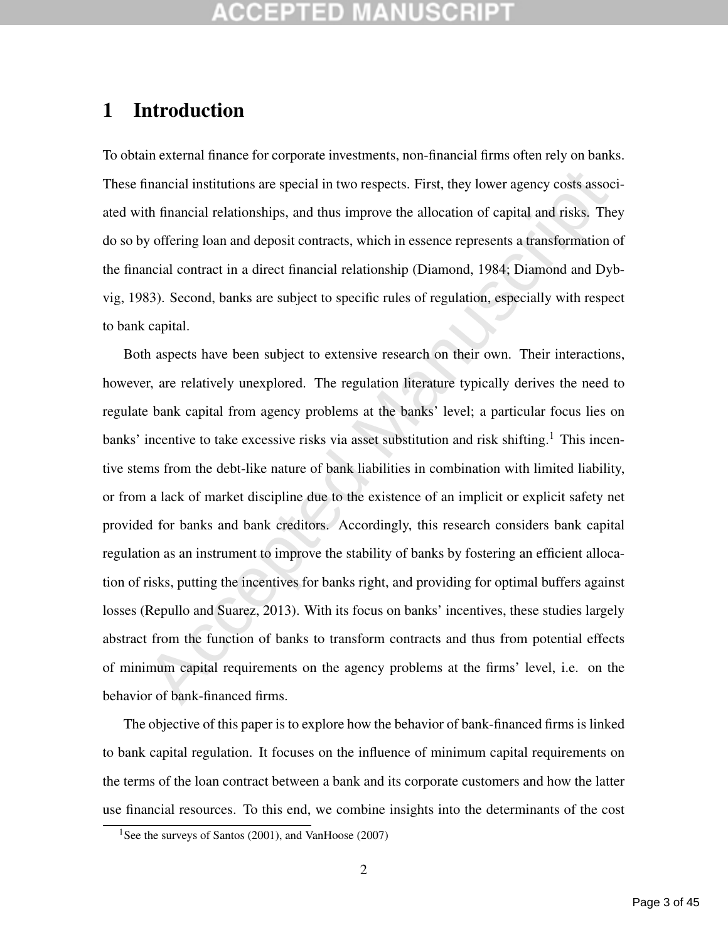# GEPTED

### 1 Introduction

To obtain external finance for corporate investments, non-financial firms often rely on banks. These financial institutions are special in two respects. First, they lower agency costs associated with financial relationships, and thus improve the allocation of capital and risks. They do so by offering loan and deposit contracts, which in essence represents a transformation of the financial contract in a direct financial relationship (Diamond, 1984; Diamond and Dybvig, 1983). Second, banks are subject to specific rules of regulation, especially with respect to bank capital.

inancial institutions are special in two respects. First, they lower agency costs assoc<br>th financial relationships, and thus improve the allocation of capital and risks. The<br>y offering loan and deposit contracts, which in Both aspects have been subject to extensive research on their own. Their interactions, however, are relatively unexplored. The regulation literature typically derives the need to regulate bank capital from agency problems at the banks' level; a particular focus lies on banks' incentive to take excessive risks via asset substitution and risk shifting.<sup>1</sup> This incentive stems from the debt-like nature of bank liabilities in combination with limited liability, or from a lack of market discipline due to the existence of an implicit or explicit safety net provided for banks and bank creditors. Accordingly, this research considers bank capital regulation as an instrument to improve the stability of banks by fostering an efficient allocation of risks, putting the incentives for banks right, and providing for optimal buffers against losses (Repullo and Suarez, 2013). With its focus on banks' incentives, these studies largely abstract from the function of banks to transform contracts and thus from potential effects of minimum capital requirements on the agency problems at the firms' level, i.e. on the behavior of bank-financed firms.

The objective of this paper is to explore how the behavior of bank-financed firms is linked to bank capital regulation. It focuses on the influence of minimum capital requirements on the terms of the loan contract between a bank and its corporate customers and how the latter use financial resources. To this end, we combine insights into the determinants of the cost

<sup>&</sup>lt;sup>1</sup>See the surveys of Santos (2001), and VanHoose (2007)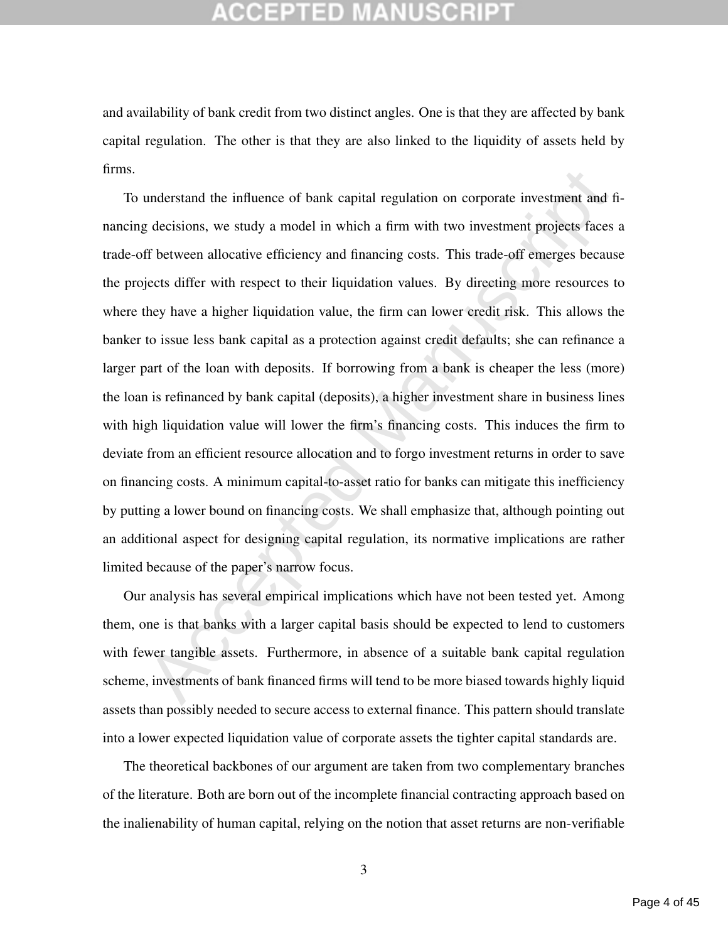## CEPTED

and availability of bank credit from two distinct angles. One is that they are affected by bank capital regulation. The other is that they are also linked to the liquidity of assets held by firms.

understand the influence of bank capital regulation on corporate investment and f<br>decisions, we study a model in which a firm with two investment projects faces<br>ff between allocative efficiency and financing costs. This tr To understand the influence of bank capital regulation on corporate investment and financing decisions, we study a model in which a firm with two investment projects faces a trade-off between allocative efficiency and financing costs. This trade-off emerges because the projects differ with respect to their liquidation values. By directing more resources to where they have a higher liquidation value, the firm can lower credit risk. This allows the banker to issue less bank capital as a protection against credit defaults; she can refinance a larger part of the loan with deposits. If borrowing from a bank is cheaper the less (more) the loan is refinanced by bank capital (deposits), a higher investment share in business lines with high liquidation value will lower the firm's financing costs. This induces the firm to deviate from an efficient resource allocation and to forgo investment returns in order to save on financing costs. A minimum capital-to-asset ratio for banks can mitigate this inefficiency by putting a lower bound on financing costs. We shall emphasize that, although pointing out an additional aspect for designing capital regulation, its normative implications are rather limited because of the paper's narrow focus.

Our analysis has several empirical implications which have not been tested yet. Among them, one is that banks with a larger capital basis should be expected to lend to customers with fewer tangible assets. Furthermore, in absence of a suitable bank capital regulation scheme, investments of bank financed firms will tend to be more biased towards highly liquid assets than possibly needed to secure access to external finance. This pattern should translate into a lower expected liquidation value of corporate assets the tighter capital standards are.

The theoretical backbones of our argument are taken from two complementary branches of the literature. Both are born out of the incomplete financial contracting approach based on the inalienability of human capital, relying on the notion that asset returns are non-verifiable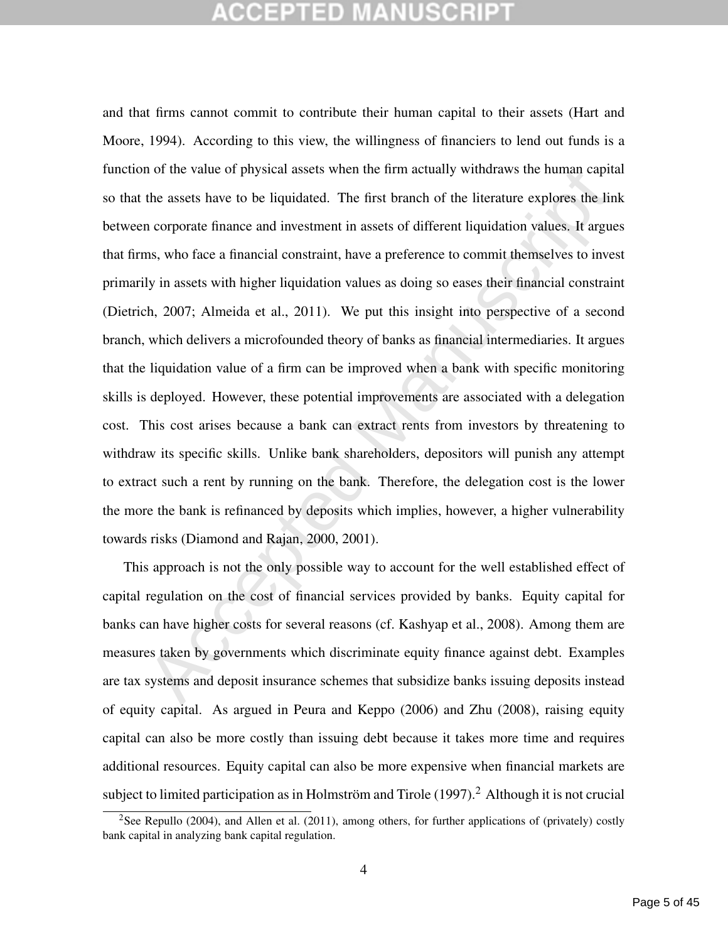# CEPTED

In of the value of physical assets when the firm actually withdraws the human capit<br>the assets have to be liquidated. The first branch of the literature explores the lin<br>n corporate finance and investment in assets of diff and that firms cannot commit to contribute their human capital to their assets (Hart and Moore, 1994). According to this view, the willingness of financiers to lend out funds is a function of the value of physical assets when the firm actually withdraws the human capital so that the assets have to be liquidated. The first branch of the literature explores the link between corporate finance and investment in assets of different liquidation values. It argues that firms, who face a financial constraint, have a preference to commit themselves to invest primarily in assets with higher liquidation values as doing so eases their financial constraint (Dietrich, 2007; Almeida et al., 2011). We put this insight into perspective of a second branch, which delivers a microfounded theory of banks as financial intermediaries. It argues that the liquidation value of a firm can be improved when a bank with specific monitoring skills is deployed. However, these potential improvements are associated with a delegation cost. This cost arises because a bank can extract rents from investors by threatening to withdraw its specific skills. Unlike bank shareholders, depositors will punish any attempt to extract such a rent by running on the bank. Therefore, the delegation cost is the lower the more the bank is refinanced by deposits which implies, however, a higher vulnerability towards risks (Diamond and Rajan, 2000, 2001).

This approach is not the only possible way to account for the well established effect of capital regulation on the cost of financial services provided by banks. Equity capital for banks can have higher costs for several reasons (cf. Kashyap et al., 2008). Among them are measures taken by governments which discriminate equity finance against debt. Examples are tax systems and deposit insurance schemes that subsidize banks issuing deposits instead of equity capital. As argued in Peura and Keppo (2006) and Zhu (2008), raising equity capital can also be more costly than issuing debt because it takes more time and requires additional resources. Equity capital can also be more expensive when financial markets are subject to limited participation as in Holmström and Tirole  $(1997)$ .<sup>2</sup> Although it is not crucial

<sup>&</sup>lt;sup>2</sup>See Repullo (2004), and Allen et al. (2011), among others, for further applications of (privately) costly bank capital in analyzing bank capital regulation.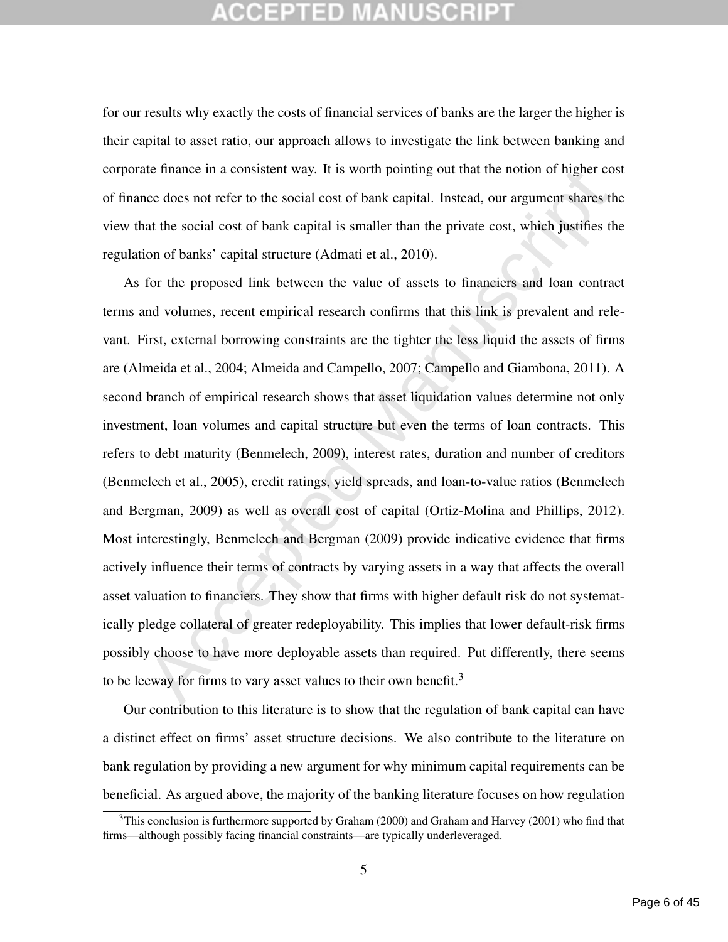# GEPTED

for our results why exactly the costs of financial services of banks are the larger the higher is their capital to asset ratio, our approach allows to investigate the link between banking and corporate finance in a consistent way. It is worth pointing out that the notion of higher cost of finance does not refer to the social cost of bank capital. Instead, our argument shares the view that the social cost of bank capital is smaller than the private cost, which justifies the regulation of banks' capital structure (Admati et al., 2010).

the finance in a consistent way. It is worth pointing out that the notion of ingher core does not refer to the social cost of bank capital. Instead, our argument shares that the social cost of bank capital is smaller than As for the proposed link between the value of assets to financiers and loan contract terms and volumes, recent empirical research confirms that this link is prevalent and relevant. First, external borrowing constraints are the tighter the less liquid the assets of firms are (Almeida et al., 2004; Almeida and Campello, 2007; Campello and Giambona, 2011). A second branch of empirical research shows that asset liquidation values determine not only investment, loan volumes and capital structure but even the terms of loan contracts. This refers to debt maturity (Benmelech, 2009), interest rates, duration and number of creditors (Benmelech et al., 2005), credit ratings, yield spreads, and loan-to-value ratios (Benmelech and Bergman, 2009) as well as overall cost of capital (Ortiz-Molina and Phillips, 2012). Most interestingly, Benmelech and Bergman (2009) provide indicative evidence that firms actively influence their terms of contracts by varying assets in a way that affects the overall asset valuation to financiers. They show that firms with higher default risk do not systematically pledge collateral of greater redeployability. This implies that lower default-risk firms possibly choose to have more deployable assets than required. Put differently, there seems to be leeway for firms to vary asset values to their own benefit.<sup>3</sup>

Our contribution to this literature is to show that the regulation of bank capital can have a distinct effect on firms' asset structure decisions. We also contribute to the literature on bank regulation by providing a new argument for why minimum capital requirements can be beneficial. As argued above, the majority of the banking literature focuses on how regulation

<sup>&</sup>lt;sup>3</sup>This conclusion is furthermore supported by Graham (2000) and Graham and Harvey (2001) who find that firms—although possibly facing financial constraints—are typically underleveraged.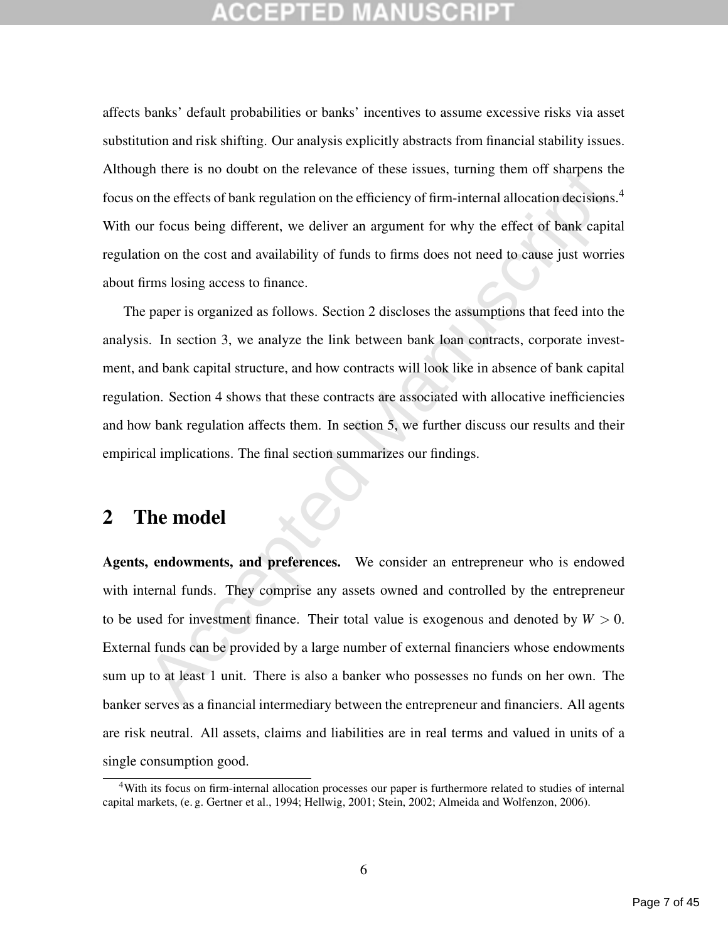affects banks' default probabilities or banks' incentives to assume excessive risks via asset substitution and risk shifting. Our analysis explicitly abstracts from financial stability issues. Although there is no doubt on the relevance of these issues, turning them off sharpens the focus on the effects of bank regulation on the efficiency of firm-internal allocation decisions.<sup>4</sup> With our focus being different, we deliver an argument for why the effect of bank capital regulation on the cost and availability of funds to firms does not need to cause just worries about firms losing access to finance.

gn there is no doubt on the relevance of these issues, turning them off sharpens the therefores of bank regulation on the efficiency of firm-internal allocation decisions are focus being different, we deliver an argument The paper is organized as follows. Section 2 discloses the assumptions that feed into the analysis. In section 3, we analyze the link between bank loan contracts, corporate investment, and bank capital structure, and how contracts will look like in absence of bank capital regulation. Section 4 shows that these contracts are associated with allocative inefficiencies and how bank regulation affects them. In section 5, we further discuss our results and their empirical implications. The final section summarizes our findings.

### 2 The model

Agents, endowments, and preferences. We consider an entrepreneur who is endowed with internal funds. They comprise any assets owned and controlled by the entrepreneur to be used for investment finance. Their total value is exogenous and denoted by  $W > 0$ . External funds can be provided by a large number of external financiers whose endowments sum up to at least 1 unit. There is also a banker who possesses no funds on her own. The banker serves as a financial intermediary between the entrepreneur and financiers. All agents are risk neutral. All assets, claims and liabilities are in real terms and valued in units of a single consumption good.

<sup>4</sup>With its focus on firm-internal allocation processes our paper is furthermore related to studies of internal capital markets, (e. g. Gertner et al., 1994; Hellwig, 2001; Stein, 2002; Almeida and Wolfenzon, 2006).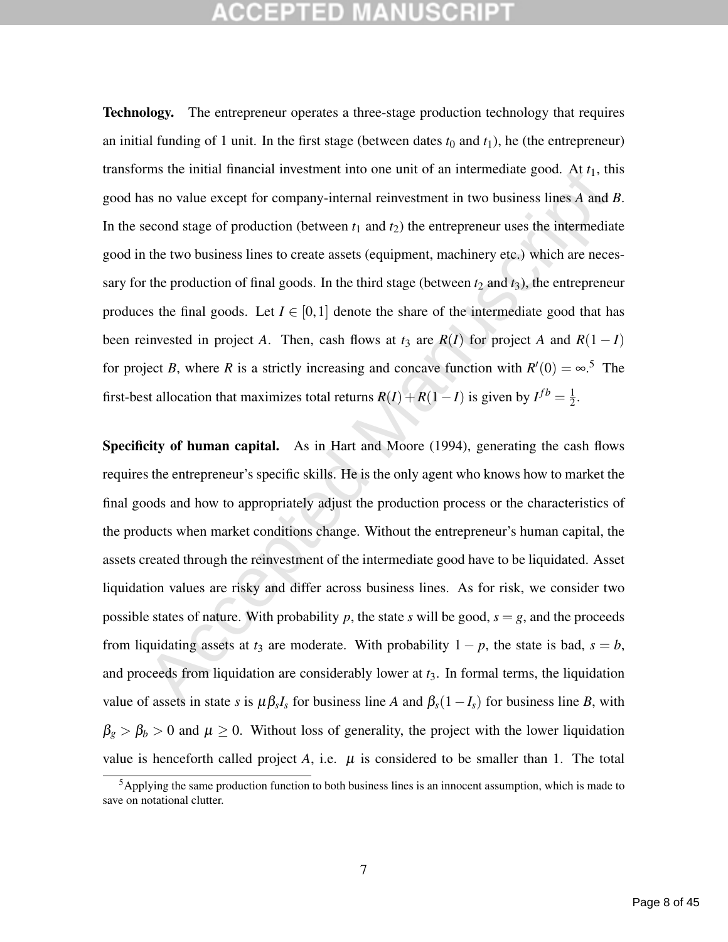### COEPTED MANUSCR

Technology. The entrepreneur operates a three-stage production technology that requires an initial funding of 1 unit. In the first stage (between dates  $t_0$  and  $t_1$ ), he (the entrepreneur) transforms the initial financial investment into one unit of an intermediate good. At *t*1, this good has no value except for company-internal reinvestment in two business lines *A* and *B*. In the second stage of production (between  $t_1$  and  $t_2$ ) the entrepreneur uses the intermediate good in the two business lines to create assets (equipment, machinery etc.) which are necessary for the production of final goods. In the third stage (between  $t_2$  and  $t_3$ ), the entrepreneur produces the final goods. Let  $I \in [0,1]$  denote the share of the intermediate good that has been reinvested in project *A*. Then, cash flows at  $t_3$  are  $R(I)$  for project *A* and  $R(1 - I)$ for project *B*, where *R* is a strictly increasing and concave function with  $R'(0) = \infty$ <sup>5</sup>. The first-best allocation that maximizes total returns  $R(I) + R(1 - I)$  is given by  $I^{fb} = \frac{1}{2}$  $\frac{1}{2}$ .

tms the initial financial investment into one unit of an intermediate good. At  $t_1$ , this<br>as no value except for company-internal reinvestment in two business lines  $A$  and  $B$ <br>econd stage of production (between  $t_1$  an Specificity of human capital. As in Hart and Moore (1994), generating the cash flows requires the entrepreneur's specific skills. He is the only agent who knows how to market the final goods and how to appropriately adjust the production process or the characteristics of the products when market conditions change. Without the entrepreneur's human capital, the assets created through the reinvestment of the intermediate good have to be liquidated. Asset liquidation values are risky and differ across business lines. As for risk, we consider two possible states of nature. With probability *p*, the state *s* will be good,  $s = g$ , and the proceeds from liquidating assets at  $t_3$  are moderate. With probability  $1 - p$ , the state is bad,  $s = b$ , and proceeds from liquidation are considerably lower at  $t_3$ . In formal terms, the liquidation value of assets in state *s* is  $\mu \beta_s I_s$  for business line *A* and  $\beta_s (1 - I_s)$  for business line *B*, with  $\beta_g > \beta_b > 0$  and  $\mu \ge 0$ . Without loss of generality, the project with the lower liquidation value is henceforth called project A, i.e.  $\mu$  is considered to be smaller than 1. The total

<sup>5</sup>Applying the same production function to both business lines is an innocent assumption, which is made to save on notational clutter.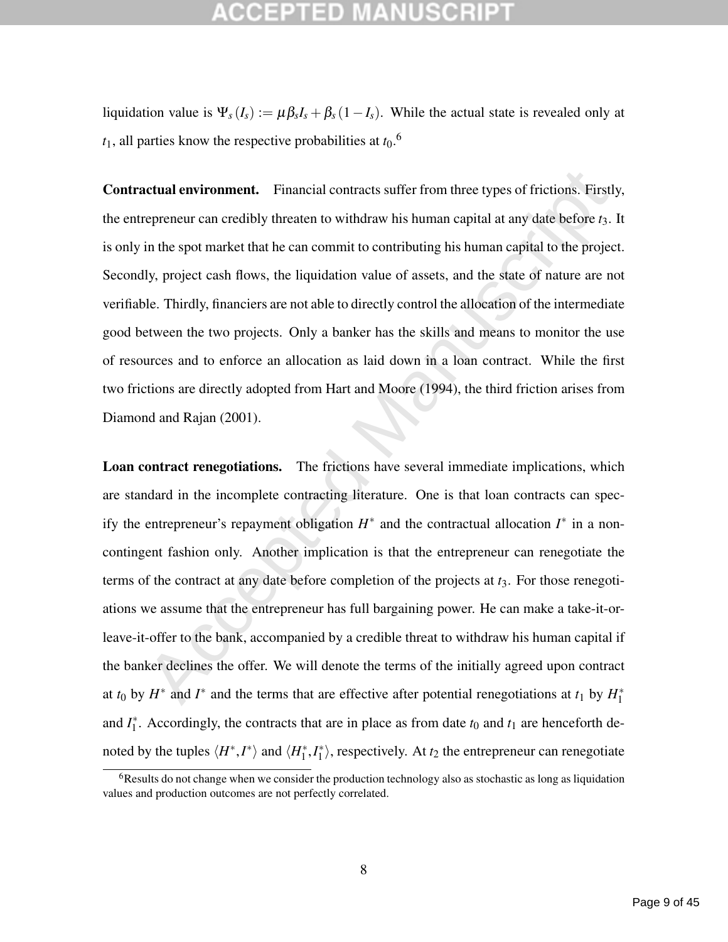### TED

liquidation value is  $\Psi_s(I_s) := \mu \beta_s I_s + \beta_s (1 - I_s)$ . While the actual state is revealed only at  $t_1$ , all parties know the respective probabilities at  $t_0$ .<sup>6</sup>

Contractual environment. Financial contracts suffer from three types of frictions. Firstly, the entrepreneur can credibly threaten to withdraw his human capital at any date before  $t_3$ . It is only in the spot market that he can commit to contributing his human capital to the project. Secondly, project cash flows, the liquidation value of assets, and the state of nature are not verifiable. Thirdly, financiers are not able to directly control the allocation of the intermediate good between the two projects. Only a banker has the skills and means to monitor the use of resources and to enforce an allocation as laid down in a loan contract. While the first two frictions are directly adopted from Hart and Moore (1994), the third friction arises from Diamond and Rajan (2001).

**Example 1.** Financial contracts suffer from three types of frictions. Firstly-<br>repreneur can credibly threaten to withdraw his human capital at any date before  $t_3$ .<br>in the spot market that he can commit to contributing Loan contract renegotiations. The frictions have several immediate implications, which are standard in the incomplete contracting literature. One is that loan contracts can specify the entrepreneur's repayment obligation  $H^*$  and the contractual allocation  $I^*$  in a noncontingent fashion only. Another implication is that the entrepreneur can renegotiate the terms of the contract at any date before completion of the projects at *t*3. For those renegotiations we assume that the entrepreneur has full bargaining power. He can make a take-it-orleave-it-offer to the bank, accompanied by a credible threat to withdraw his human capital if the banker declines the offer. We will denote the terms of the initially agreed upon contract at  $t_0$  by  $H^*$  and  $I^*$  and the terms that are effective after potential renegotiations at  $t_1$  by  $H_1^*$ 1 and  $I_1^*$  $i<sub>1</sub>$ . Accordingly, the contracts that are in place as from date  $t<sub>0</sub>$  and  $t<sub>1</sub>$  are henceforth denoted by the tuples  $\langle H^*, I^* \rangle$  and  $\langle H_1^* \rangle$  $I_1^*, I_1^*$  $\binom{1}{1}$ , respectively. At  $t_2$  the entrepreneur can renegotiate

<sup>&</sup>lt;sup>6</sup>Results do not change when we consider the production technology also as stochastic as long as liquidation values and production outcomes are not perfectly correlated.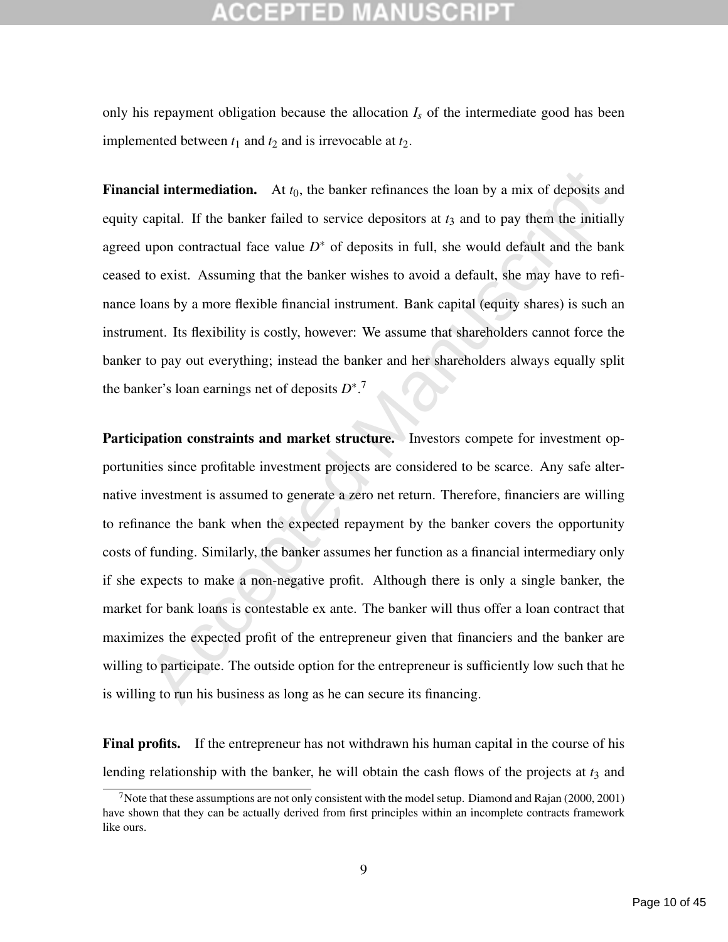only his repayment obligation because the allocation  $I<sub>s</sub>$  of the intermediate good has been implemented between  $t_1$  and  $t_2$  and is irrevocable at  $t_2$ .

**Financial intermediation.** At  $t_0$ , the banker refinances the loan by a mix of deposits and equity capital. If the banker failed to service depositors at  $t_3$  and to pay them the initially agreed upon contractual face value  $D^*$  of deposits in full, she would default and the bank ceased to exist. Assuming that the banker wishes to avoid a default, she may have to refinance loans by a more flexible financial instrument. Bank capital (equity shares) is such an instrument. Its flexibility is costly, however: We assume that shareholders cannot force the banker to pay out everything; instead the banker and her shareholders always equally split the banker's loan earnings net of deposits  $D^*$ <sup>7</sup>

**ial intermediation.** At  $t_0$ , the banker refinances the loan by a mix of deposits an capital. If the banker failed to service depositors at  $t_3$  and to pay them the initial upon contractual face value  $D^*$  of deposits Participation constraints and market structure. Investors compete for investment opportunities since profitable investment projects are considered to be scarce. Any safe alternative investment is assumed to generate a zero net return. Therefore, financiers are willing to refinance the bank when the expected repayment by the banker covers the opportunity costs of funding. Similarly, the banker assumes her function as a financial intermediary only if she expects to make a non-negative profit. Although there is only a single banker, the market for bank loans is contestable ex ante. The banker will thus offer a loan contract that maximizes the expected profit of the entrepreneur given that financiers and the banker are willing to participate. The outside option for the entrepreneur is sufficiently low such that he is willing to run his business as long as he can secure its financing.

Final profits. If the entrepreneur has not withdrawn his human capital in the course of his lending relationship with the banker, he will obtain the cash flows of the projects at  $t_3$  and

<sup>&</sup>lt;sup>7</sup>Note that these assumptions are not only consistent with the model setup. Diamond and Rajan (2000, 2001) have shown that they can be actually derived from first principles within an incomplete contracts framework like ours.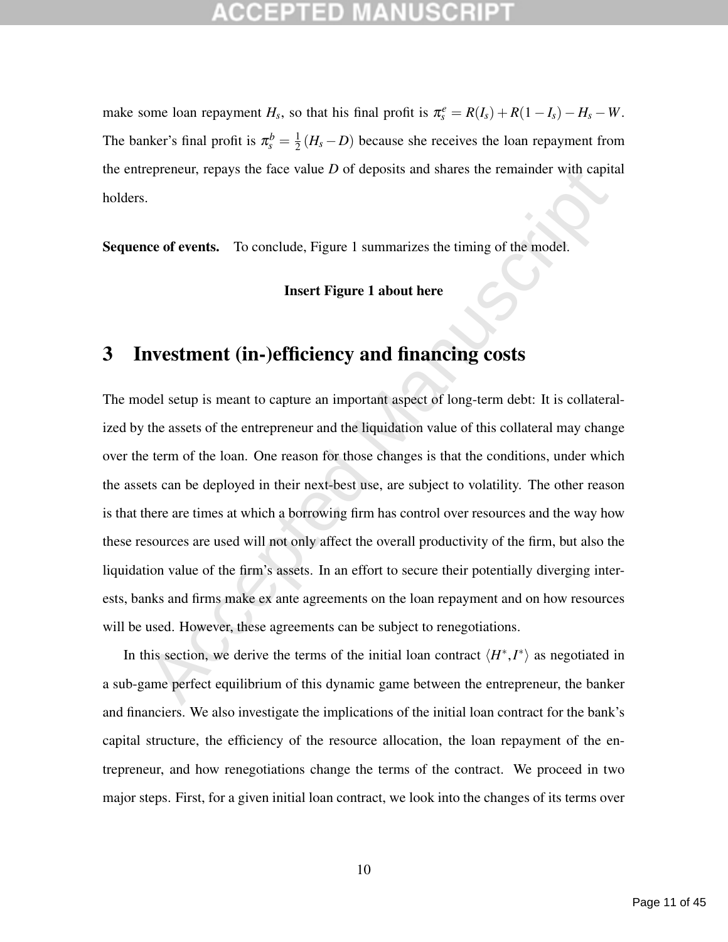make some loan repayment  $H_s$ , so that his final profit is  $\pi_s^e = R(I_s) + R(1 - I_s) - H_s - W$ . The banker's final profit is  $\pi_s^b = \frac{1}{2}$  $\frac{1}{2}(H_s - D)$  because she receives the loan repayment from the entrepreneur, repays the face value *D* of deposits and shares the remainder with capital holders.

Sequence of events. To conclude, Figure 1 summarizes the timing of the model.

### Insert Figure 1 about here

### 3 Investment (in-)efficiency and financing costs

repreneur, repays the face value *D* of deposits and shares the remainder with capital-<br> **Acce of events.** To conclude, Figure 1 summarizes the timing of the model.<br> **Insert Figure 1 about here**<br> **Insert Figure 1 about he** The model setup is meant to capture an important aspect of long-term debt: It is collateralized by the assets of the entrepreneur and the liquidation value of this collateral may change over the term of the loan. One reason for those changes is that the conditions, under which the assets can be deployed in their next-best use, are subject to volatility. The other reason is that there are times at which a borrowing firm has control over resources and the way how these resources are used will not only affect the overall productivity of the firm, but also the liquidation value of the firm's assets. In an effort to secure their potentially diverging interests, banks and firms make ex ante agreements on the loan repayment and on how resources will be used. However, these agreements can be subject to renegotiations.

In this section, we derive the terms of the initial loan contract  $\langle H^*, I^* \rangle$  as negotiated in a sub-game perfect equilibrium of this dynamic game between the entrepreneur, the banker and financiers. We also investigate the implications of the initial loan contract for the bank's capital structure, the efficiency of the resource allocation, the loan repayment of the entrepreneur, and how renegotiations change the terms of the contract. We proceed in two major steps. First, for a given initial loan contract, we look into the changes of its terms over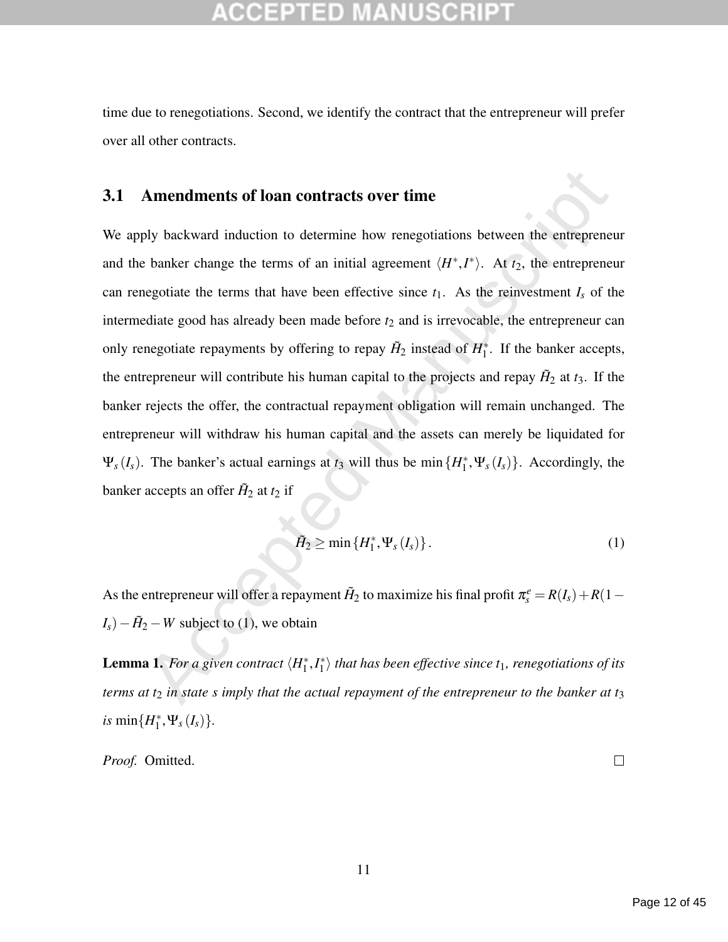time due to renegotiations. Second, we identify the contract that the entrepreneur will prefer over all other contracts.

### 3.1 Amendments of loan contracts over time

**Amendments of loan contracts over time**<br>bly backward induction to determine how renegotiations between the entrepreneu-<br>banker change the terms of an initial agreement  $\langle H^*, \Gamma \rangle$ . At  $t_2$ , the entrepreneu-<br>regotiate th We apply backward induction to determine how renegotiations between the entrepreneur and the banker change the terms of an initial agreement  $\langle H^*, I^* \rangle$ . At  $t_2$ , the entrepreneur can renegotiate the terms that have been effective since  $t_1$ . As the reinvestment  $I_s$  of the intermediate good has already been made before  $t_2$  and is irrevocable, the entrepreneur can only renegotiate repayments by offering to repay  $\tilde{H}_2$  instead of  $H_1^*$  $\frac{1}{1}$ . If the banker accepts, the entrepreneur will contribute his human capital to the projects and repay  $H_2$  at  $t_3$ . If the banker rejects the offer, the contractual repayment obligation will remain unchanged. The entrepreneur will withdraw his human capital and the assets can merely be liquidated for  $\Psi_s(I_s)$ . The banker's actual earnings at  $t_3$  will thus be min  $\{H_1^*\}$  $\{A_1^*, \Psi_s(I_s)\}\$ . Accordingly, the banker accepts an offer  $H_2$  at  $t_2$  if

$$
\tilde{H}_2 \ge \min\left\{H_1^*, \Psi_s(I_s)\right\}.
$$
 (1)

As the entrepreneur will offer a repayment  $\tilde{H}_2$  to maximize his final profit  $\pi_s^e = R(I_s) + R(1 - \epsilon)$  $I_s$ ) −  $\tilde{H}_2$  − *W* subject to (1), we obtain

**Lemma 1.** For a given contract  $\langle H_1^* \rangle$  $I_1^*, I_1^*$ 1 i *that has been effective since t*1*, renegotiations of its terms at t*<sub>2</sub> *in state s imply that the actual repayment of the entrepreneur to the banker at t*<sub>3</sub>  $is \min\{H_1^*\}$  $_{1}^{*},\Psi_{s}(I_{s})\}.$ 

*Proof.* Omitted.

 $\Box$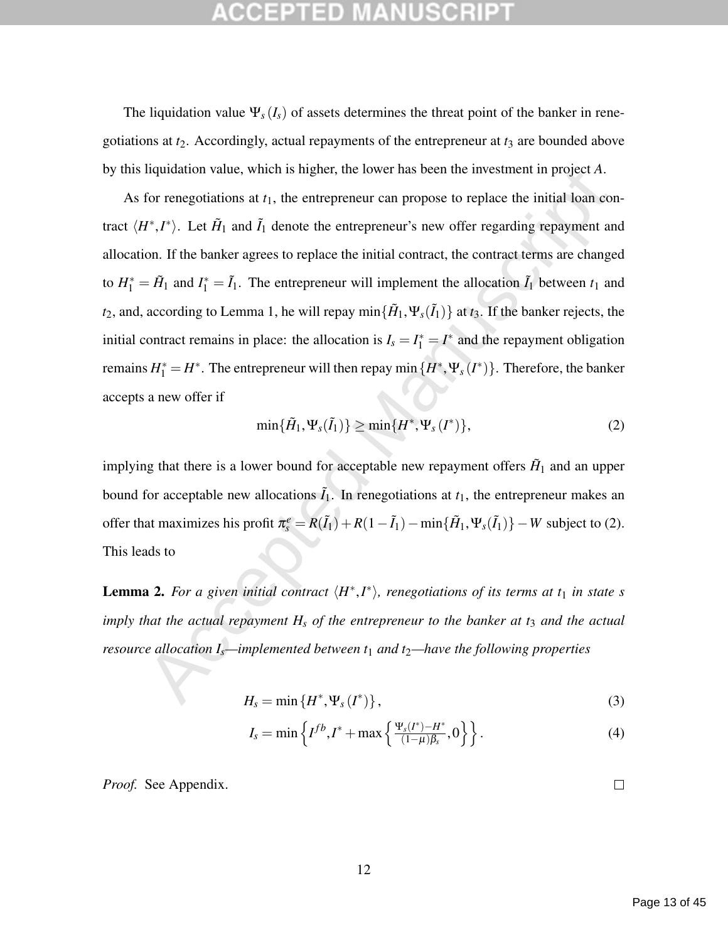The liquidation value  $\Psi_s(I_s)$  of assets determines the threat point of the banker in renegotiations at *t*2. Accordingly, actual repayments of the entrepreneur at *t*<sup>3</sup> are bounded above by this liquidation value, which is higher, the lower has been the investment in project *A*.

In the matrix and  $H_1$ , the entropy means been the measurement in project A.<br>
for renegotiations at  $t_1$ , the entrepreneur can propose to replace the initial loan contract  $t^n$ ,  $t^n$ ). Let  $\hat{H}_1$  and  $\hat{I}_1$  denote t As for renegotiations at *t*1, the entrepreneur can propose to replace the initial loan contract  $\langle H^*, I^* \rangle$ . Let  $\tilde{H}_1$  and  $\tilde{I}_1$  denote the entrepreneur's new offer regarding repayment and allocation. If the banker agrees to replace the initial contract, the contract terms are changed to  $H_1^* = \tilde{H}_1$  and  $I_1^* = \tilde{I}_1$ . The entrepreneur will implement the allocation  $\tilde{I}_1$  between  $t_1$  and *t*<sub>2</sub>, and, according to Lemma 1, he will repay  $\min\{\tilde{H}_1, \Psi_s(\tilde{I}_1)\}$  at *t*<sub>3</sub>. If the banker rejects, the initial contract remains in place: the allocation is  $I_s = I_1^* = I^*$  and the repayment obligation remains  $H_1^* = H^*$ . The entrepreneur will then repay min  $\{H^*, \Psi_s(I^*)\}$ . Therefore, the banker accepts a new offer if

$$
\min{\{\tilde{H}_1, \Psi_s(\tilde{I}_1)\}} \ge \min{\{H^*, \Psi_s(I^*)\}},\tag{2}
$$

implying that there is a lower bound for acceptable new repayment offers  $H_1$  and an upper bound for acceptable new allocations  $I_1$ . In renegotiations at  $t_1$ , the entrepreneur makes an offer that maximizes his profit  $\pi_s^e = R(\tilde{I}_1) + R(1 - \tilde{I}_1) - \min{\{\tilde{H}_1, \Psi_s(\tilde{I}_1)\}} - W$  subject to (2). This leads to

**Lemma 2.** For a given initial contract  $\langle H^*, I^* \rangle$ , renegotiations of its terms at  $t_1$  in state s *imply that the actual repayment H<sub>s</sub> of the entrepreneur to the banker at t<sub>3</sub> and the actual resource allocation I<sub>s</sub>—implemented between t<sub>1</sub> and t<sub>2</sub>—have the following properties* 

$$
H_s = \min\left\{H^*, \Psi_s(I^*)\right\},\tag{3}
$$

$$
I_s = \min\left\{I^{fb}, I^* + \max\left\{\frac{\Psi_s(I^*) - H^*}{(1 - \mu)\beta_s}, 0\right\}\right\}.
$$
 (4)

*Proof.* See Appendix.

 $\Box$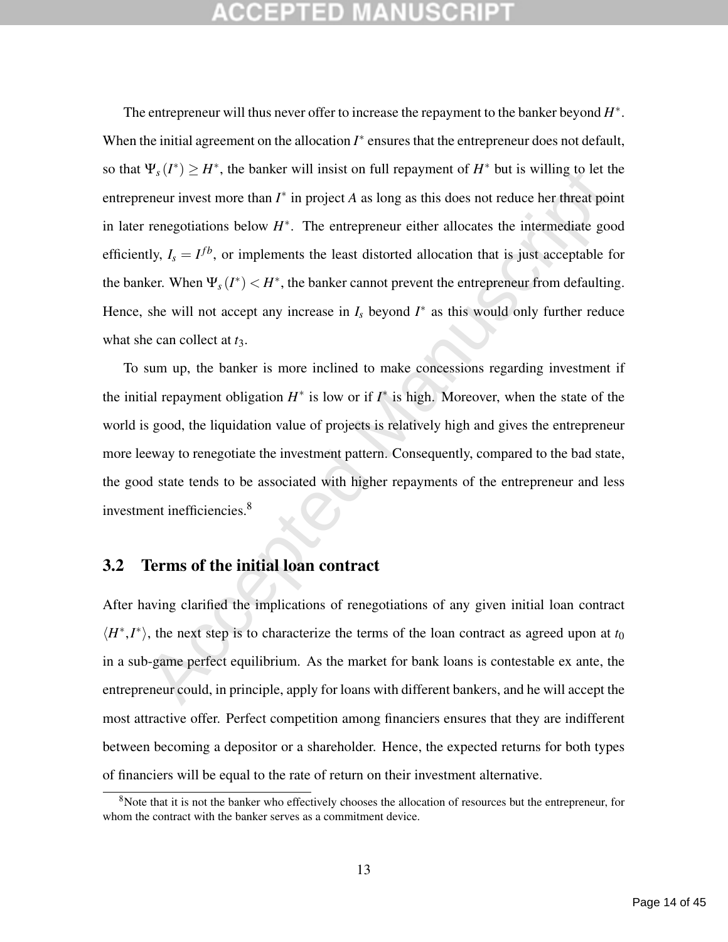## TED

 $\Psi_s(I') \geq H^s$ , the banker will insist on tull repayment of  $H^s$  but is willing to let the<br>neur invest more than  $I^s$  in project A as long as this does not reduce her threat poir<br>renegotiations below  $H^s$ . The entrepren The entrepreneur will thus never offer to increase the repayment to the banker beyond *H* ∗ . When the initial agreement on the allocation  $I^*$  ensures that the entrepreneur does not default, so that  $\Psi_s(I^*) \ge H^*$ , the banker will insist on full repayment of  $H^*$  but is willing to let the entrepreneur invest more than *I*<sup>∗</sup> in project *A* as long as this does not reduce her threat point in later renegotiations below  $H^*$ . The entrepreneur either allocates the intermediate good efficiently,  $I_s = I<sup>fb</sup>$ , or implements the least distorted allocation that is just acceptable for the banker. When  $\Psi_s(I^*) < H^*$ , the banker cannot prevent the entrepreneur from defaulting. Hence, she will not accept any increase in  $I_s$  beyond  $I^*$  as this would only further reduce what she can collect at  $t_3$ .

To sum up, the banker is more inclined to make concessions regarding investment if the initial repayment obligation  $H^*$  is low or if  $I^*$  is high. Moreover, when the state of the world is good, the liquidation value of projects is relatively high and gives the entrepreneur more leeway to renegotiate the investment pattern. Consequently, compared to the bad state, the good state tends to be associated with higher repayments of the entrepreneur and less investment inefficiencies.<sup>8</sup>

### 3.2 Terms of the initial loan contract

After having clarified the implications of renegotiations of any given initial loan contract  $\langle H^*, I^* \rangle$ , the next step is to characterize the terms of the loan contract as agreed upon at *t*<sub>0</sub> in a sub-game perfect equilibrium. As the market for bank loans is contestable ex ante, the entrepreneur could, in principle, apply for loans with different bankers, and he will accept the most attractive offer. Perfect competition among financiers ensures that they are indifferent between becoming a depositor or a shareholder. Hence, the expected returns for both types of financiers will be equal to the rate of return on their investment alternative.

<sup>&</sup>lt;sup>8</sup>Note that it is not the banker who effectively chooses the allocation of resources but the entrepreneur, for whom the contract with the banker serves as a commitment device.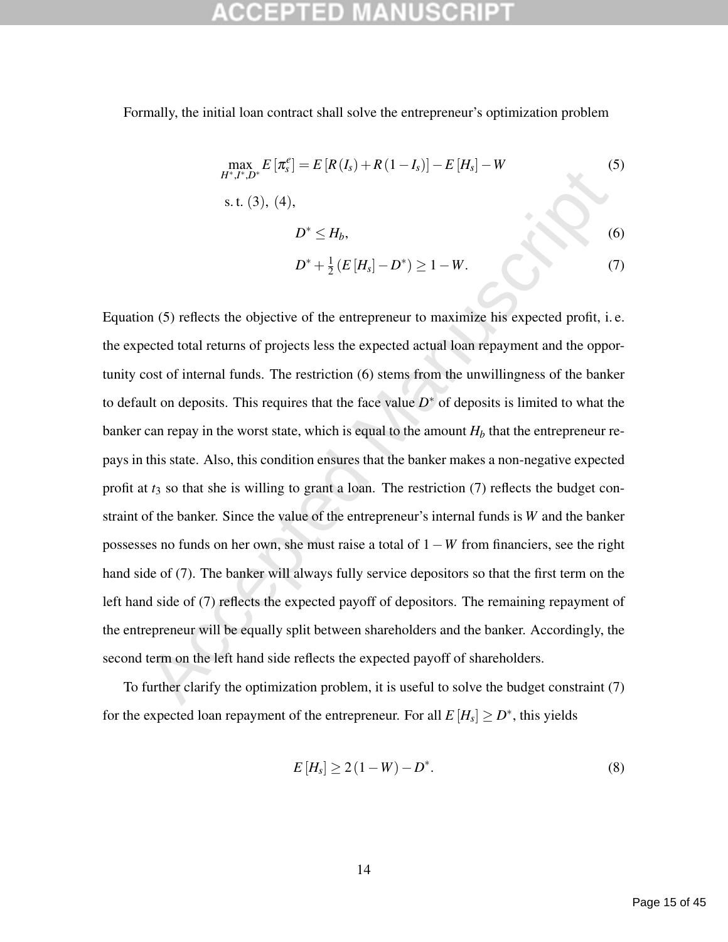### COEPTED

Formally, the initial loan contract shall solve the entrepreneur's optimization problem

$$
\max_{H^*,I^*,D^*} E[\pi_s^e] = E[R(I_s) + R(1 - I_s)] - E[H_s] - W
$$
\n
$$
\text{s.t. (3), (4),}
$$
\n
$$
D^* \le H_b,
$$
\n
$$
D^* + \frac{1}{2}(E[H_s] - D^*) \ge 1 - W.
$$
\n(7)

 $\mu_{\text{CP}}, \mu_{\text{CP}} = \mu_{\text{PMS}} + \lambda (1 - s_3) = \mu_{\text{H}}$  ((<br>  $D^* \leq H_b$ ,<br>  $D^* \leq H_b$ ,<br>  $D^* \geq (E[H_s] - D^*) \geq 1 - W$ .<br>
((a)  $D^* \geq H_b$ ,<br>
(b)  $D^* + \frac{1}{2} \langle E[H_s] - D^*) \geq 1 - W$ .<br>
(c)<br>
(a)  $D^* + \frac{1}{2} \langle E[H_s] - D^*) \geq 1 - W$ .<br>
(c)<br>
(b)  $D^* + \frac{1}{$ Equation (5) reflects the objective of the entrepreneur to maximize his expected profit, i. e. the expected total returns of projects less the expected actual loan repayment and the opportunity cost of internal funds. The restriction (6) stems from the unwillingness of the banker to default on deposits. This requires that the face value  $D^*$  of deposits is limited to what the banker can repay in the worst state, which is equal to the amount  $H_b$  that the entrepreneur repays in this state. Also, this condition ensures that the banker makes a non-negative expected profit at  $t_3$  so that she is willing to grant a loan. The restriction (7) reflects the budget constraint of the banker. Since the value of the entrepreneur's internal funds is *W* and the banker possesses no funds on her own, she must raise a total of 1−*W* from financiers, see the right hand side of (7). The banker will always fully service depositors so that the first term on the left hand side of (7) reflects the expected payoff of depositors. The remaining repayment of the entrepreneur will be equally split between shareholders and the banker. Accordingly, the second term on the left hand side reflects the expected payoff of shareholders.

To further clarify the optimization problem, it is useful to solve the budget constraint (7) for the expected loan repayment of the entrepreneur. For all  $E[H_s] \geq D^*$ , this yields

$$
E[H_s] \ge 2(1-W) - D^*.
$$
 (8)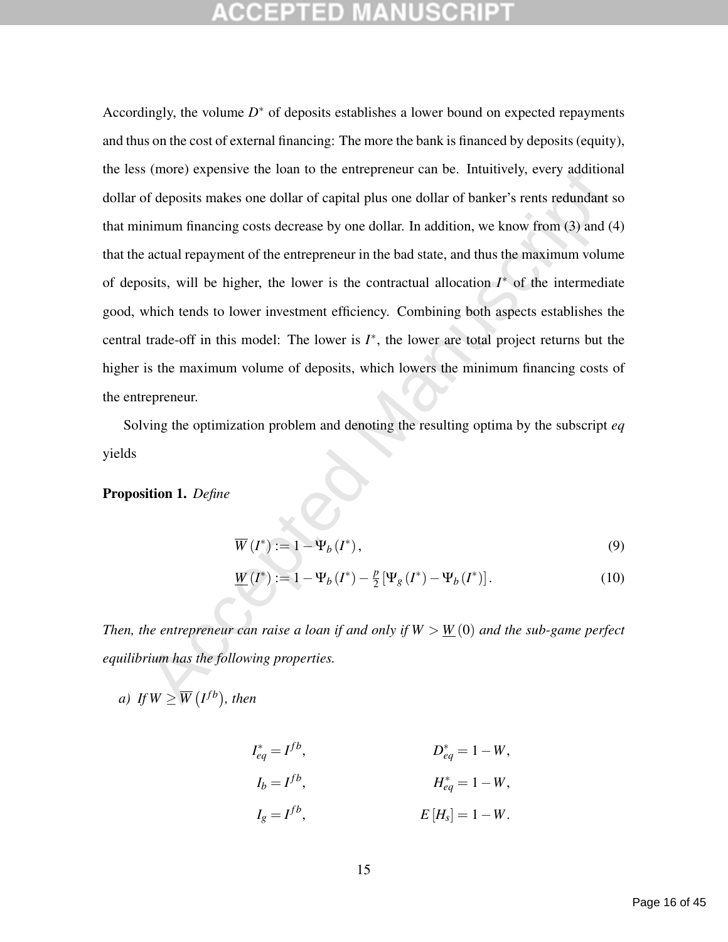s (more) expensive the loan to the entrepreneur can be. Intuitively, every additional<br>
of deposits makes one dollar of capital plus one dollar of banker's rents redundant s<br>
nimum financing costs decrease by one dollar. I Accordingly, the volume  $D^*$  of deposits establishes a lower bound on expected repayments and thus on the cost of external financing: The more the bank is financed by deposits (equity), the less (more) expensive the loan to the entrepreneur can be. Intuitively, every additional dollar of deposits makes one dollar of capital plus one dollar of banker's rents redundant so that minimum financing costs decrease by one dollar. In addition, we know from (3) and (4) that the actual repayment of the entrepreneur in the bad state, and thus the maximum volume of deposits, will be higher, the lower is the contractual allocation  $I^*$  of the intermediate good, which tends to lower investment efficiency. Combining both aspects establishes the central trade-off in this model: The lower is  $I^*$ , the lower are total project returns but the higher is the maximum volume of deposits, which lowers the minimum financing costs of the entrepreneur.

Solving the optimization problem and denoting the resulting optima by the subscript *eq* yields

Proposition 1. *Define*

$$
\overline{W}(I^*) := 1 - \Psi_b(I^*),\tag{9}
$$

$$
\underline{W}(I^*) := 1 - \Psi_b(I^*) - \frac{p}{2} [\Psi_g(I^*) - \Psi_b(I^*)]. \tag{10}
$$

*Then, the entrepreneur can raise a loan if and only if*  $W > W(0)$  *and the sub-game perfect equilibrium has the following properties.*

*a*) If  $W \geq \overline{W} (I^{fb})$ , then

$$
I_{eq}^* = I^{fb},
$$
  
\n
$$
I_b = I^{fb},
$$
  
\n
$$
I_g = I^{fb},
$$
  
\n
$$
I_g = I^{fb},
$$
  
\n
$$
E[H_s] = 1 - W.
$$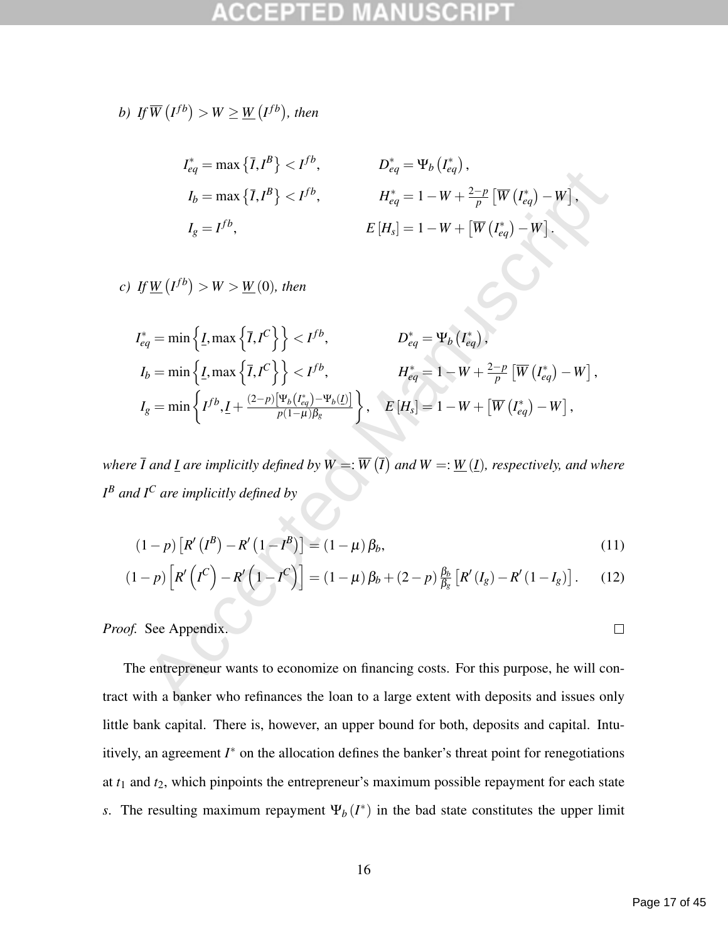b) If 
$$
\overline{W}(I^{fb}) > W \geq \underline{W}(I^{fb})
$$
, then

$$
I_{eq}^* = \max \left\{ \overline{I}, I^B \right\} < I^{fb}, \qquad D_{eq}^* = \Psi_b \left( I_{eq}^* \right),
$$
\n
$$
I_b = \max \left\{ \overline{I}, I^B \right\} < I^{fb}, \qquad H_{eq}^* = 1 - W + \frac{2-p}{p} \left[ \overline{W} \left( I_{eq}^* \right) - W \right],
$$
\n
$$
I_g = I^{fb}, \qquad E \left[ H_s \right] = 1 - W + \left[ \overline{W} \left( I_{eq}^* \right) - W \right].
$$

c) If 
$$
\underline{W}(I^{fb}) > W > \underline{W}(0)
$$
, then

$$
L_{eq} = \max\{I, I^B\} < I^b, \qquad L_{eq} = 1 - W + \frac{2-p}{p} \left[\overline{W}(I_{eq}^*) - W\right],
$$
\n
$$
I_g = I^{fb}, \qquad E[H_s] = 1 - W + \left[\overline{W}(I_{eq}^*) - W\right],
$$
\n
$$
I_g = I^{fb}, \qquad E[H_s] = 1 - W + \left[\overline{W}(I_{eq}^*) - W\right].
$$
\n
$$
H^* \underline{W}(I^{fb}) > W > \underline{W}(0), \text{ then}
$$
\n
$$
I_{eq}^* = \min\left\{I, \max\left\{\overline{I}, I^C\right\}\right\} < I^{fb}, \qquad D_{eq}^* = \Psi_b(I_{eq}^*)
$$
\n
$$
I_b = \min\left\{I, \max\left\{\overline{I}, I^C\right\}\right\} < I^{fb}, \qquad H_{eq}^* = 1 - W + \frac{2-p}{p} \left[\overline{W}(I_{eq}^*) - W\right],
$$
\n
$$
I_g = \min\left\{I^{fb}, I + \frac{(2-p)[\Psi_b(I_{eq}^*) - \Psi_b(t)]}{p(1-\mu)\beta_g}\right\}, \qquad E[H_s] = 1 - W + \left[\overline{W}(I_{eq}^*) - W\right],
$$
\n
$$
I \quad \text{and} \quad I \quad \text{are implicitly defined by} \quad W =: \overline{W}(I) \quad \text{and} \quad W =: \underline{W}(I), \quad \text{respectively, and when}
$$
\n
$$
dI^C \quad \text{are implicitly defined by} \quad W =: \overline{W}(I) \quad \text{and} \quad W =: \underline{W}(I), \quad \text{respectively, and when}
$$
\n
$$
(1-p) \left[R'(I^B) - R'(1 - I^B)\right] = (1 - \mu) \beta_b,
$$
\n
$$
(-p) \left[R'(I^C) - R'(1 - I^C)\right] = (1 - \mu) \beta_b + (2 - p) \frac{\beta_b}{\beta_s} \left[R'(I_g) - R'(1 - I_g)\right]. \qquad (12 - p) \quad \text{with a banker who refinances the loan to a large extent with deposits and issues on}
$$

where  $\bar{I}$  and <u>I</u> are implicitly defined by  $W=:\overline{W}\left(\bar{I}\right)$  and  $W=:\underline{W}\left(I\right)$ , respectively, and where *I <sup>B</sup> and I<sup>C</sup> are implicitly defined by*

$$
(1-p) [R'(IB) - R'(1 - IB)] = (1 - \mu) \beta_b,
$$
\n(11)

$$
(1-p)\left[R'\left(I^C\right) - R'\left(1 - I^C\right)\right] = (1-\mu)\beta_b + (2-p)\frac{\beta_b}{\beta_g}\left[R'\left(I_g\right) - R'\left(1 - I_g\right)\right].\tag{12}
$$

*Proof.* See Appendix.

The entrepreneur wants to economize on financing costs. For this purpose, he will contract with a banker who refinances the loan to a large extent with deposits and issues only little bank capital. There is, however, an upper bound for both, deposits and capital. Intuitively, an agreement *I* <sup>∗</sup> on the allocation defines the banker's threat point for renegotiations at *t*<sup>1</sup> and *t*2, which pinpoints the entrepreneur's maximum possible repayment for each state *s*. The resulting maximum repayment  $\Psi_b(I^*)$  in the bad state constitutes the upper limit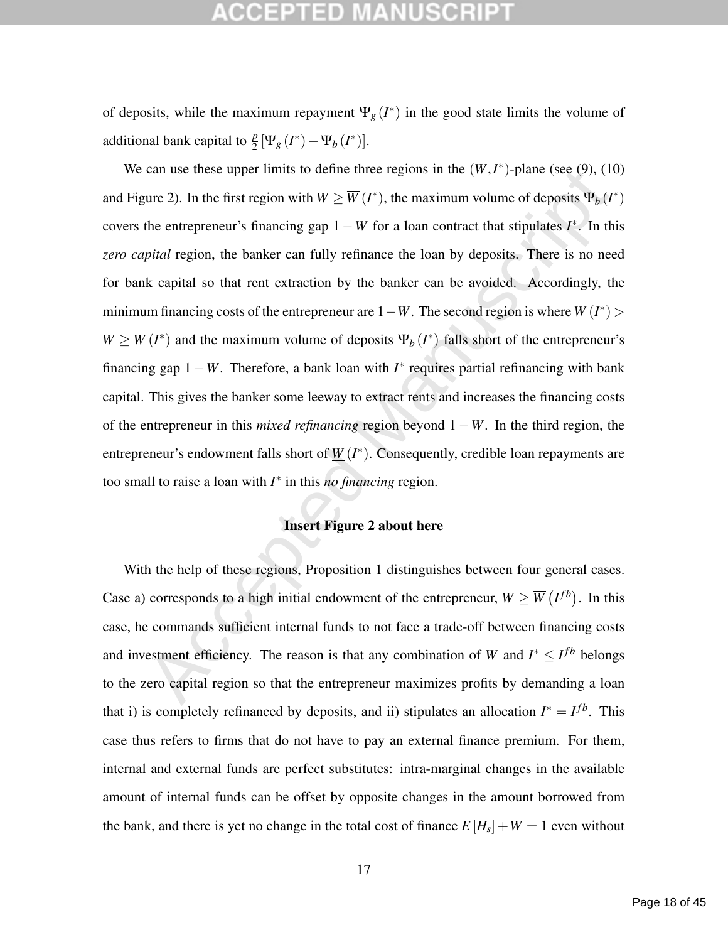### **CCEPTED MANUSCR**

of deposits, while the maximum repayment  $\Psi_g(I^*)$  in the good state limits the volume of additional bank capital to  $\frac{p}{2} [\Psi_g(I^*) - \Psi_b(I^*)]$ .

can use these upper limits to denne three regions in the  $(W, I^c)$ -plane (see (9), (1)<br>
ture 2). In the first region with  $W \geq W(I^c)$ , the maximum volume of deposits  $\Psi_b(I^c)$ <br>
the entrepreneur's financing gap  $1 - W$  for a We can use these upper limits to define three regions in the  $(W, I^*)$ -plane (see (9), (10) and Figure 2). In the first region with  $W \ge \overline{W}(I^*)$ , the maximum volume of deposits  $\Psi_b(I^*)$ covers the entrepreneur's financing gap  $1 - W$  for a loan contract that stipulates  $I^*$ . In this *zero capital* region, the banker can fully refinance the loan by deposits. There is no need for bank capital so that rent extraction by the banker can be avoided. Accordingly, the minimum financing costs of the entrepreneur are  $1-W$ . The second region is where  $\overline{W}(I^*)$  >  $W \geq W(I^*)$  and the maximum volume of deposits  $\Psi_b(I^*)$  falls short of the entrepreneur's financing gap 1 – *W*. Therefore, a bank loan with *I*<sup>\*</sup> requires partial refinancing with bank capital. This gives the banker some leeway to extract rents and increases the financing costs of the entrepreneur in this *mixed refinancing* region beyond 1 −*W*. In the third region, the entrepreneur's endowment falls short of  $\underline{W}(I^*)$ . Consequently, credible loan repayments are too small to raise a loan with *I* ∗ in this *no financing* region.

### Insert Figure 2 about here

With the help of these regions, Proposition 1 distinguishes between four general cases. Case a) corresponds to a high initial endowment of the entrepreneur,  $W \geq \overline{W}(I^{fb})$ . In this case, he commands sufficient internal funds to not face a trade-off between financing costs and investment efficiency. The reason is that any combination of *W* and  $I^* \leq I^{fb}$  belongs to the zero capital region so that the entrepreneur maximizes profits by demanding a loan that i) is completely refinanced by deposits, and ii) stipulates an allocation  $I^* = I^{fb}$ . This case thus refers to firms that do not have to pay an external finance premium. For them, internal and external funds are perfect substitutes: intra-marginal changes in the available amount of internal funds can be offset by opposite changes in the amount borrowed from the bank, and there is yet no change in the total cost of finance  $E[H_s]+W=1$  even without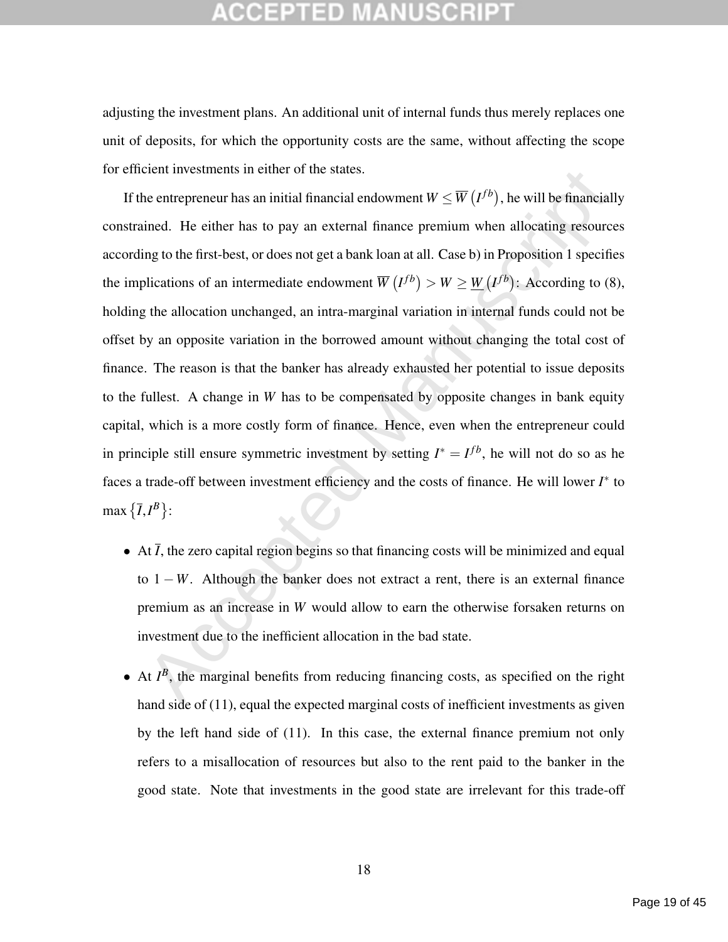### COEPTED **MANUSCR**

adjusting the investment plans. An additional unit of internal funds thus merely replaces one unit of deposits, for which the opportunity costs are the same, without affecting the scope for efficient investments in either of the states.

cient investments in either of the states.<br>
e entrepreneur has an initial financial endowment  $W \leq W(I^{th})$ , he will be financial<br>
ined. He either has to pay an external finance premium when allocating resource<br>
are dot the If the entrepreneur has an initial financial endowment  $W \leq \overline{W}\left(I^{fb}\right)$ , he will be financially constrained. He either has to pay an external finance premium when allocating resources according to the first-best, or does not get a bank loan at all. Case b) in Proposition 1 specifies the implications of an intermediate endowment  $\overline{W}(I^{fb}) > W \ge \underline{W}(I^{fb})$ : According to (8), holding the allocation unchanged, an intra-marginal variation in internal funds could not be offset by an opposite variation in the borrowed amount without changing the total cost of finance. The reason is that the banker has already exhausted her potential to issue deposits to the fullest. A change in *W* has to be compensated by opposite changes in bank equity capital, which is a more costly form of finance. Hence, even when the entrepreneur could in principle still ensure symmetric investment by setting  $I^* = I^{fb}$ , he will not do so as he faces a trade-off between investment efficiency and the costs of finance. He will lower *I*<sup>∗</sup> to  $\max \{ \overline{I}, I^B \}$ :

- $\bullet$  At  $\overline{I}$ , the zero capital region begins so that financing costs will be minimized and equal to  $1 - W$ . Although the banker does not extract a rent, there is an external finance premium as an increase in *W* would allow to earn the otherwise forsaken returns on investment due to the inefficient allocation in the bad state.
- At  $I^B$ , the marginal benefits from reducing financing costs, as specified on the right hand side of (11), equal the expected marginal costs of inefficient investments as given by the left hand side of (11). In this case, the external finance premium not only refers to a misallocation of resources but also to the rent paid to the banker in the good state. Note that investments in the good state are irrelevant for this trade-off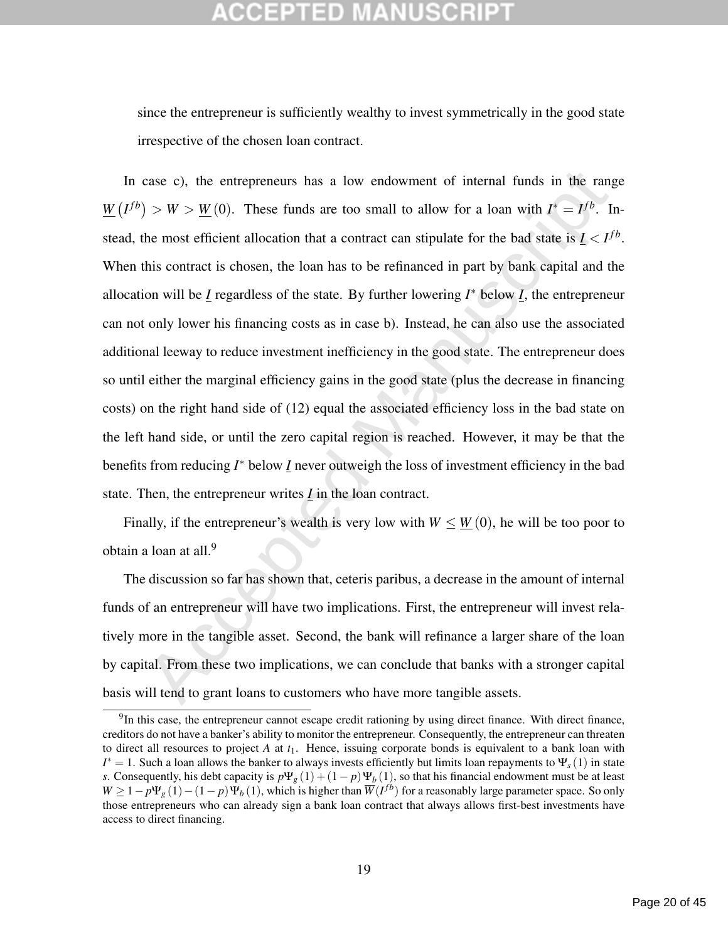since the entrepreneur is sufficiently wealthy to invest symmetrically in the good state irrespective of the chosen loan contract.

case c), the entrepreneurs has a low endowment of internal funds in the range  $) > W > W(0)$ . These funds are too small to allow for a loan with  $I^* = I^{f_0}$ . It he most efficient allocation that a contract can stipulate for In case c), the entrepreneurs has a low endowment of internal funds in the range  $W(I^{fb}) > W > W(0)$ . These funds are too small to allow for a loan with  $I^* = I^{fb}$ . Instead, the most efficient allocation that a contract can stipulate for the bad state is  $I \lt I^{fb}$ . When this contract is chosen, the loan has to be refinanced in part by bank capital and the allocation will be  $I$  regardless of the state. By further lowering  $I^*$  below  $I$ , the entrepreneur can not only lower his financing costs as in case b). Instead, he can also use the associated additional leeway to reduce investment inefficiency in the good state. The entrepreneur does so until either the marginal efficiency gains in the good state (plus the decrease in financing costs) on the right hand side of (12) equal the associated efficiency loss in the bad state on the left hand side, or until the zero capital region is reached. However, it may be that the benefits from reducing *I*<sup>\*</sup> below *<u>I</u>* never outweigh the loss of investment efficiency in the bad state. Then, the entrepreneur writes *I* in the loan contract.

Finally, if the entrepreneur's wealth is very low with  $W \leq W(0)$ , he will be too poor to obtain a loan at all.<sup>9</sup>

The discussion so far has shown that, ceteris paribus, a decrease in the amount of internal funds of an entrepreneur will have two implications. First, the entrepreneur will invest relatively more in the tangible asset. Second, the bank will refinance a larger share of the loan by capital. From these two implications, we can conclude that banks with a stronger capital basis will tend to grant loans to customers who have more tangible assets.

<sup>&</sup>lt;sup>9</sup>In this case, the entrepreneur cannot escape credit rationing by using direct finance. With direct finance, creditors do not have a banker's ability to monitor the entrepreneur. Consequently, the entrepreneur can threaten to direct all resources to project *A* at *t*1. Hence, issuing corporate bonds is equivalent to a bank loan with  $I^* = 1$ . Such a loan allows the banker to always invests efficiently but limits loan repayments to  $\Psi_s(1)$  in state *s*. Consequently, his debt capacity is  $p\Psi_g(1) + (1-p)\Psi_b(1)$ , so that his financial endowment must be at least  $W \ge 1 - p\Psi_g(1) - (1 - p)\Psi_b(1)$ , which is higher than  $\overline{W}(I^{fb})$  for a reasonably large parameter space. So only those entrepreneurs who can already sign a bank loan contract that always allows first-best investments have access to direct financing.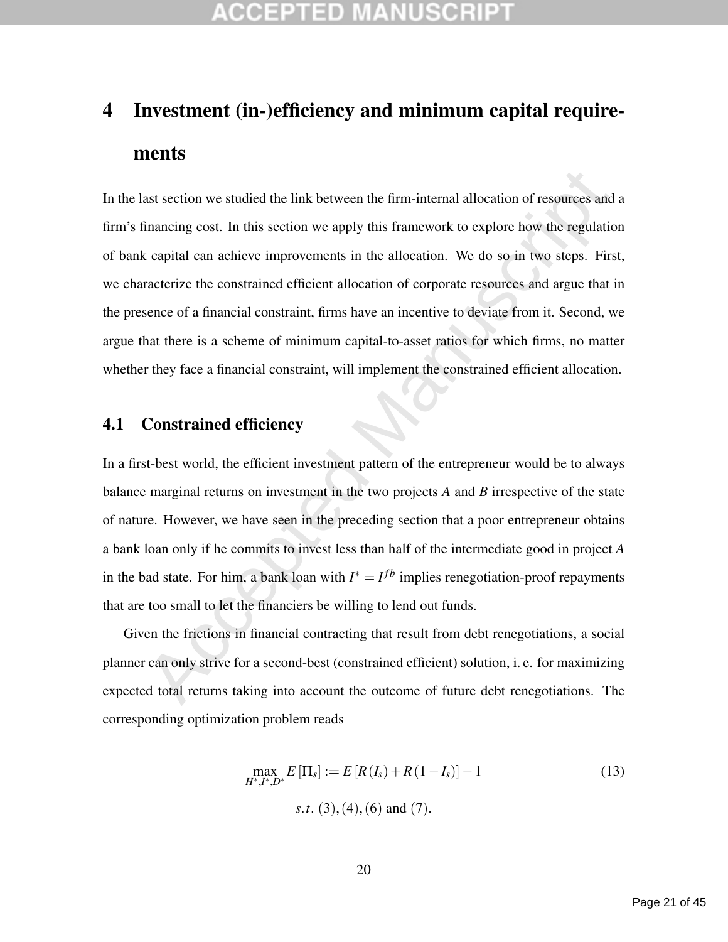# 4 Investment (in-)efficiency and minimum capital requirements

ast section we studied the link between the firm-internal allocation of resources and<br>nancing cost. In this section we apply this framework to explore how the regulatio<br>capital can achieve improvements in the allocation. In the last section we studied the link between the firm-internal allocation of resources and a firm's financing cost. In this section we apply this framework to explore how the regulation of bank capital can achieve improvements in the allocation. We do so in two steps. First, we characterize the constrained efficient allocation of corporate resources and argue that in the presence of a financial constraint, firms have an incentive to deviate from it. Second, we argue that there is a scheme of minimum capital-to-asset ratios for which firms, no matter whether they face a financial constraint, will implement the constrained efficient allocation.

### 4.1 Constrained efficiency

In a first-best world, the efficient investment pattern of the entrepreneur would be to always balance marginal returns on investment in the two projects *A* and *B* irrespective of the state of nature. However, we have seen in the preceding section that a poor entrepreneur obtains a bank loan only if he commits to invest less than half of the intermediate good in project *A* in the bad state. For him, a bank loan with  $I^* = I^{fb}$  implies renegotiation-proof repayments that are too small to let the financiers be willing to lend out funds.

Given the frictions in financial contracting that result from debt renegotiations, a social planner can only strive for a second-best (constrained efficient) solution, i. e. for maximizing expected total returns taking into account the outcome of future debt renegotiations. The corresponding optimization problem reads

$$
\max_{H^*,I^*,D^*} E\left[\Pi_s\right] := E\left[R\left(I_s\right) + R\left(1 - I_s\right)\right] - 1\tag{13}
$$
\n
$$
s.t. (3), (4), (6) \text{ and } (7).
$$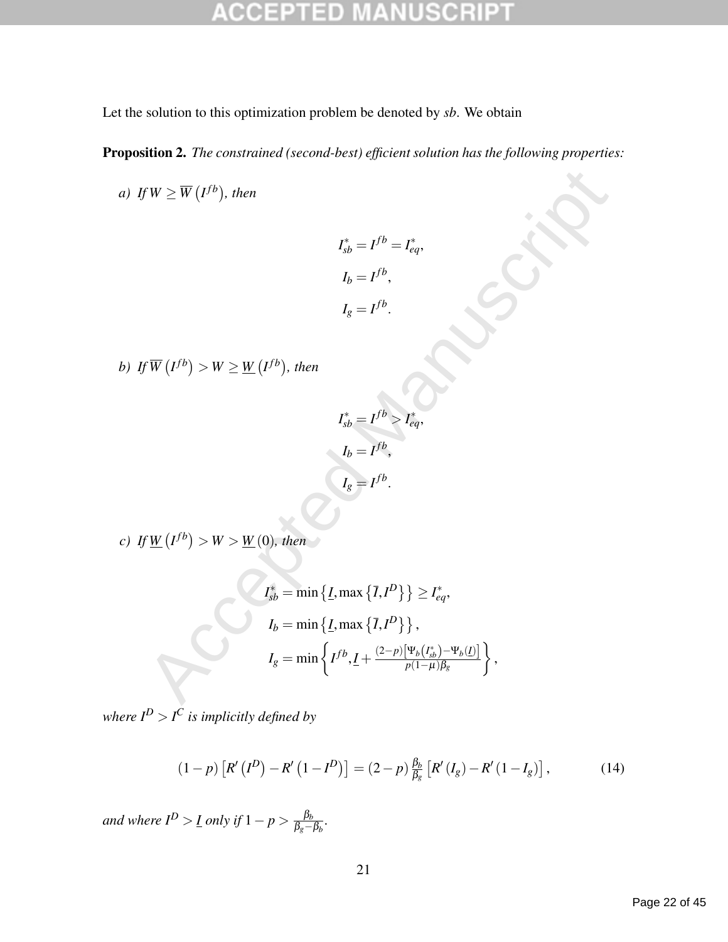Let the solution to this optimization problem be denoted by *sb*. We obtain

Proposition 2. *The constrained (second-best) efficient solution has the following properties:*

*a*) If  $W \geq \overline{W}(I^{fb})$ , then

$$
I_{sb}^* = I^{fb} = I_{eq}^*,
$$
  
\n
$$
I_b = I^{fb},
$$
  
\n
$$
I_g = I^{fb}.
$$

*b*) If  $\overline{W}(I^{fb}) > W \geq \underline{W}(I^{fb}),$  then

$$
I_{sb}^{*} = I^{fb} > I_{eq}^{*},
$$
  
\n
$$
I_b = I^{fb},
$$
  
\n
$$
I_g = I^{fb}.
$$

 $c)$  If  $\underline{W}(I^{fb}) > W > \underline{W}(0)$ , then

$$
fW \ge \overline{W}(I^{fb}), \text{ then}
$$
\n
$$
I_{sb}^{*} = I^{fb} = I_{eq}^{*},
$$
\n
$$
I_{b} = I^{fb},
$$
\n
$$
I_{g} = I^{fb}.
$$
\n
$$
I_{sb} = I^{fb}.
$$
\n
$$
I_{sb}^{*} = I^{fb} > I_{eq}^{*},
$$
\n
$$
I_{b} = I^{fb},
$$
\n
$$
I_{b} = I^{fb},
$$
\n
$$
I_{b} = I^{fb},
$$
\n
$$
I_{g} = I^{fb}.
$$
\n
$$
I_{g} = I^{fb},
$$
\n
$$
I_{g} = I^{fb},
$$
\n
$$
I_{g} = \min\{I, \max\{I, I^{D}\}\} \ge I_{eq}^{*},
$$
\n
$$
I_{b} = \min\{I, \max\{I, I^{D}\}\},
$$
\n
$$
I_{g} = \min\{I^{fb}, I_{g} + \frac{(2-p)[\Psi_{b}(I_{sb}) - \Psi_{b}(I)]}{p(1-p)\beta_{g}}\},
$$

*where*  $I^D > I^C$  *is implicitly defined by* 

$$
(1-p)\left[R'\left(I^{D}\right)-R'\left(1-I^{D}\right)\right]=(2-p)\frac{\beta_{b}}{\beta_{s}}\left[R'\left(I_{g}\right)-R'\left(1-I_{g}\right)\right],\tag{14}
$$

*and where*  $I^D > I$  *only if*  $1 - p > \frac{\beta_b}{\beta - 1}$  $\frac{p_b}{\beta_g-\beta_b}$ .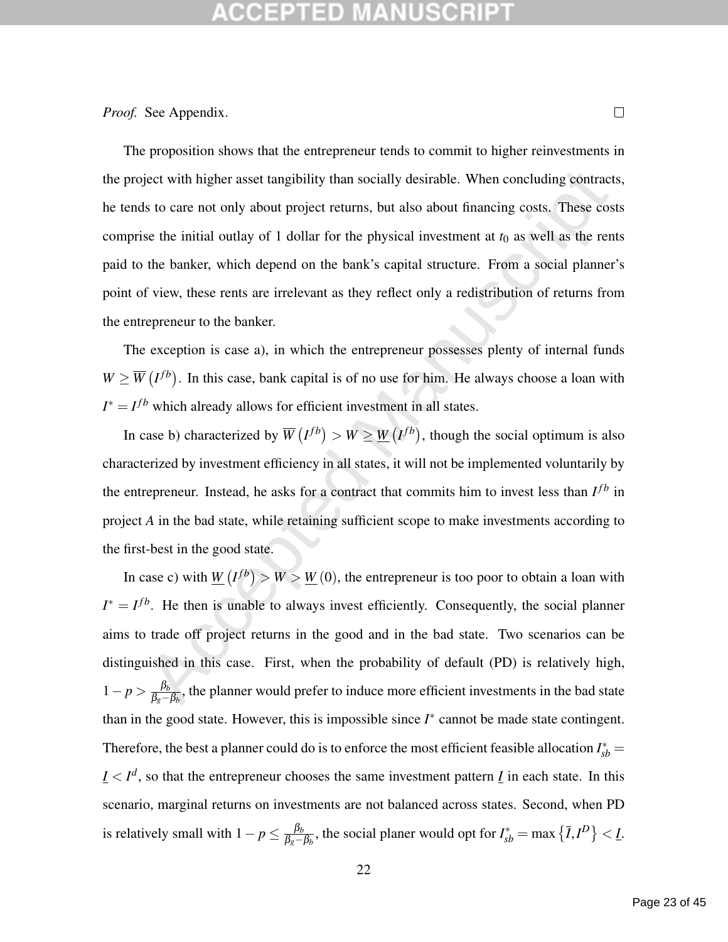### COEPTED **MANUSCR**

### *Proof.* See Appendix.

iect with higher asset tangibility than socially desirable. When concluding contracts<br>to care not only about project returns, but also about financing costs. These cost<br>se the initial outlay of 1 dollar for the physical i The proposition shows that the entrepreneur tends to commit to higher reinvestments in the project with higher asset tangibility than socially desirable. When concluding contracts, he tends to care not only about project returns, but also about financing costs. These costs comprise the initial outlay of 1 dollar for the physical investment at  $t_0$  as well as the rents paid to the banker, which depend on the bank's capital structure. From a social planner's point of view, these rents are irrelevant as they reflect only a redistribution of returns from the entrepreneur to the banker.

The exception is case a), in which the entrepreneur possesses plenty of internal funds  $W \geq \overline{W}(I^{fb})$ . In this case, bank capital is of no use for him. He always choose a loan with  $I^* = I^{fb}$  which already allows for efficient investment in all states.

In case b) characterized by  $\overline{W}(I^{fb}) > W \ge \underline{W}(I^{fb})$ , though the social optimum is also characterized by investment efficiency in all states, it will not be implemented voluntarily by the entrepreneur. Instead, he asks for a contract that commits him to invest less than  $I<sup>fb</sup>$  in project *A* in the bad state, while retaining sufficient scope to make investments according to the first-best in the good state.

In case c) with  $W(I^{fb}) > W > W(0)$ , the entrepreneur is too poor to obtain a loan with  $I^* = I^{fb}$ . He then is unable to always invest efficiently. Consequently, the social planner aims to trade off project returns in the good and in the bad state. Two scenarios can be distinguished in this case. First, when the probability of default (PD) is relatively high,  $1-p > \frac{\beta_b}{\beta_b-p}$  $\frac{p_b}{\beta_g-\beta_b}$ , the planner would prefer to induce more efficient investments in the bad state than in the good state. However, this is impossible since *I* ∗ cannot be made state contingent. Therefore, the best a planner could do is to enforce the most efficient feasible allocation  $I_{sb}^*$  =  $I \lt I^d$ , so that the entrepreneur chooses the same investment pattern *I* in each state. In this scenario, marginal returns on investments are not balanced across states. Second, when PD is relatively small with  $1 - p \leq \frac{\beta_b}{\beta_b - p}$  $\frac{\beta_b}{\beta_g - \beta_b}$ , the social planer would opt for  $I_{sb}^* = \max\left\{ \overline{I}, I^D \right\} < I$ .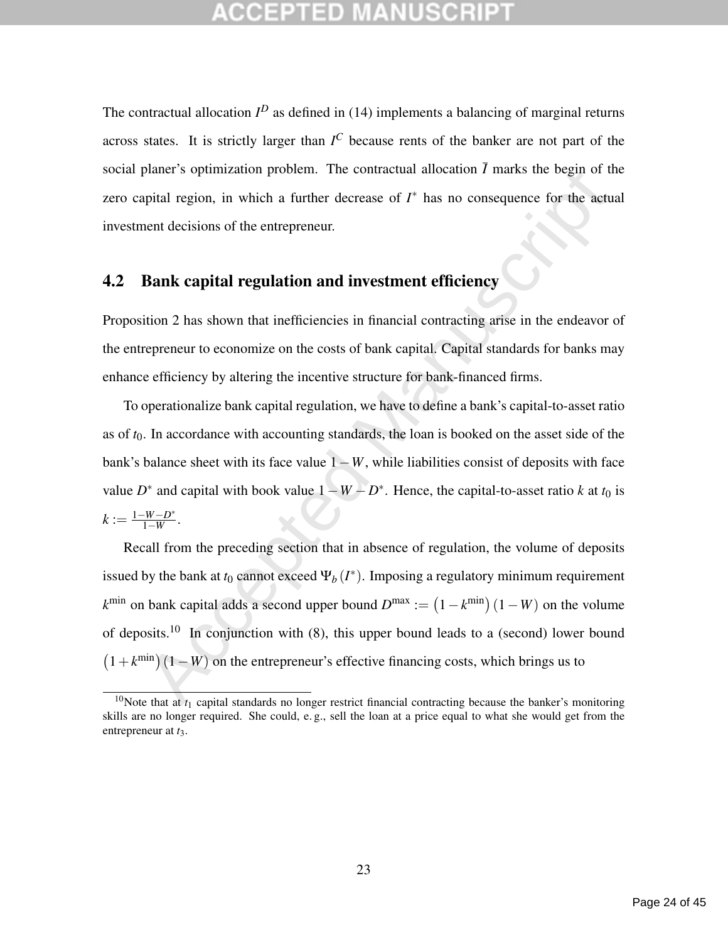The contractual allocation  $I^D$  as defined in (14) implements a balancing of marginal returns across states. It is strictly larger than  $I^C$  because rents of the banker are not part of the social planer's optimization problem. The contractual allocation  $\overline{I}$  marks the begin of the zero capital region, in which a further decrease of  $I^*$  has no consequence for the actual investment decisions of the entrepreneur.

### 4.2 Bank capital regulation and investment efficiency

Proposition 2 has shown that inefficiencies in financial contracting arise in the endeavor of the entrepreneur to economize on the costs of bank capital. Capital standards for banks may enhance efficiency by altering the incentive structure for bank-financed firms.

To operationalize bank capital regulation, we have to define a bank's capital-to-asset ratio as of *t*0. In accordance with accounting standards, the loan is booked on the asset side of the bank's balance sheet with its face value 1−*W*, while liabilities consist of deposits with face value  $D^*$  and capital with book value  $1 - W - D^*$ . Hence, the capital-to-asset ratio *k* at  $t_0$  is  $k := \frac{1-W-D^*}{1-W}$  $\frac{-W-D^*}{1-W}$ .

planer s optimization problem. The contractual allocation I marks the begin of the<br>piptal region, in which a further decrease of I<sup>n</sup> has no consequence for the actua<br>ent decisions of the entrepreneur.<br>**Bank capital regul** Recall from the preceding section that in absence of regulation, the volume of deposits issued by the bank at  $t_0$  cannot exceed  $\Psi_b(I^*)$ . Imposing a regulatory minimum requirement  $k^{\text{min}}$  on bank capital adds a second upper bound  $D^{\text{max}} := (1 - k^{\text{min}}) (1 - W)$  on the volume of deposits.<sup>10</sup> In conjunction with  $(8)$ , this upper bound leads to a (second) lower bound  $(1+k^{\min})$  (1−*W*) on the entrepreneur's effective financing costs, which brings us to

<sup>&</sup>lt;sup>10</sup>Note that at  $t_1$  capital standards no longer restrict financial contracting because the banker's monitoring skills are no longer required. She could, e. g., sell the loan at a price equal to what she would get from the entrepreneur at *t*3.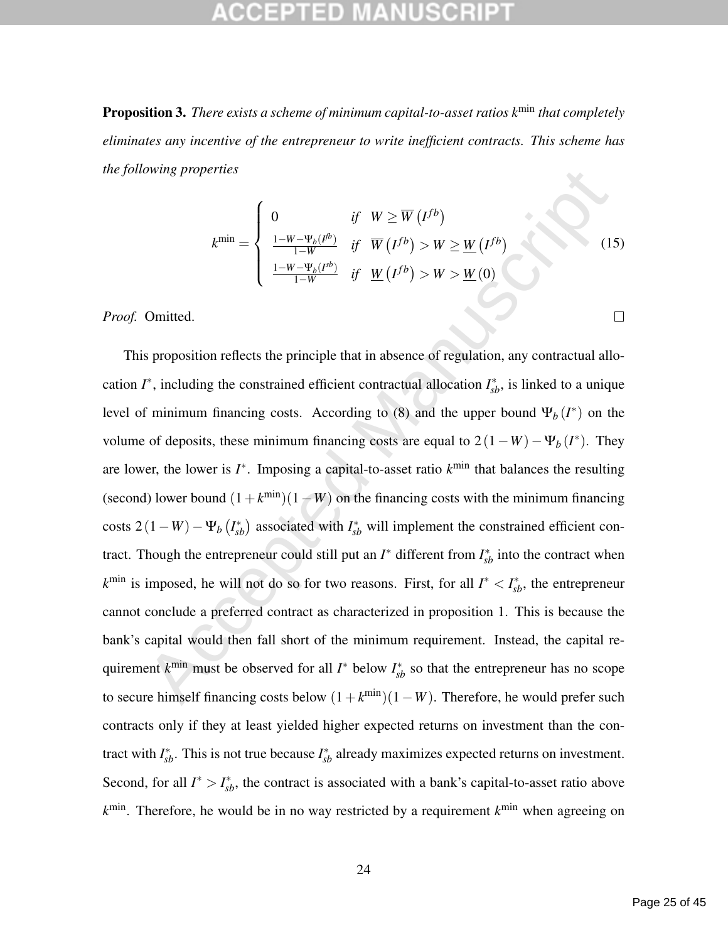Proposition 3. *There exists a scheme of minimum capital-to-asset ratios k*min *that completely eliminates any incentive of the entrepreneur to write inefficient contracts. This scheme has the following properties*

$$
k^{\min} = \begin{cases} 0 & \text{if} \quad W \ge \overline{W} \left( I^{fb} \right) \\ \frac{1 - W - \Psi_b(I^{fb})}{1 - W} & \text{if} \quad \overline{W} \left( I^{fb} \right) > W \ge \underline{W} \left( I^{fb} \right) \\ \frac{1 - W - \Psi_b(I^{sb})}{1 - W} & \text{if} \quad \underline{W} \left( I^{fb} \right) > W > \underline{W} \left( 0 \right) \end{cases} \tag{15}
$$

*Proof.* Omitted.

by  $k^{\min} = \begin{cases} 0 & \text{if } W \geq \overline{W}(L^{fb}) \\ \frac{1-W - \Psi_b(h^{\text{fb}})}{1 - W} & \text{if } \overline{W}(L^{fb}) > W \geq \underline{W}(L^{fb}) \end{cases}$  (15<br>  $\frac{1-W - \Psi_b(h^{\text{fb}})}{1 - W}$  of  $W(L^{fb}) > W \geq \underline{W}(L^{fb})$  (15<br>
Omitted.<br>
Surface the principle that in absence of regulation, a This proposition reflects the principle that in absence of regulation, any contractual allocation  $I^*$ , including the constrained efficient contractual allocation  $I^*_{sb}$ , is linked to a unique level of minimum financing costs. According to (8) and the upper bound  $\Psi_b(I^*)$  on the volume of deposits, these minimum financing costs are equal to  $2(1-W) - \Psi_b(I^*)$ . They are lower, the lower is  $I^*$ . Imposing a capital-to-asset ratio  $k^{\text{min}}$  that balances the resulting (second) lower bound  $(1 + k^{\text{min}})(1 - W)$  on the financing costs with the minimum financing costs  $2(1-W) - \Psi_b(T_{sb}^*)$  associated with  $I_{sb}^*$  will implement the constrained efficient contract. Though the entrepreneur could still put an  $I^*$  different from  $I_{sb}^*$  into the contract when  $k^{\text{min}}$  is imposed, he will not do so for two reasons. First, for all  $I^* < I_{sb}^*$ , the entrepreneur cannot conclude a preferred contract as characterized in proposition 1. This is because the bank's capital would then fall short of the minimum requirement. Instead, the capital requirement  $k^{\text{min}}$  must be observed for all  $I^*$  below  $I_{sb}^*$  so that the entrepreneur has no scope to secure himself financing costs below  $(1 + k^{\text{min}})(1 - W)$ . Therefore, he would prefer such contracts only if they at least yielded higher expected returns on investment than the contract with  $I_{sb}^*$ . This is not true because  $I_{sb}^*$  already maximizes expected returns on investment. Second, for all  $I^* > I_{sb}^*$ , the contract is associated with a bank's capital-to-asset ratio above *k* min. Therefore, he would be in no way restricted by a requirement *k* min when agreeing on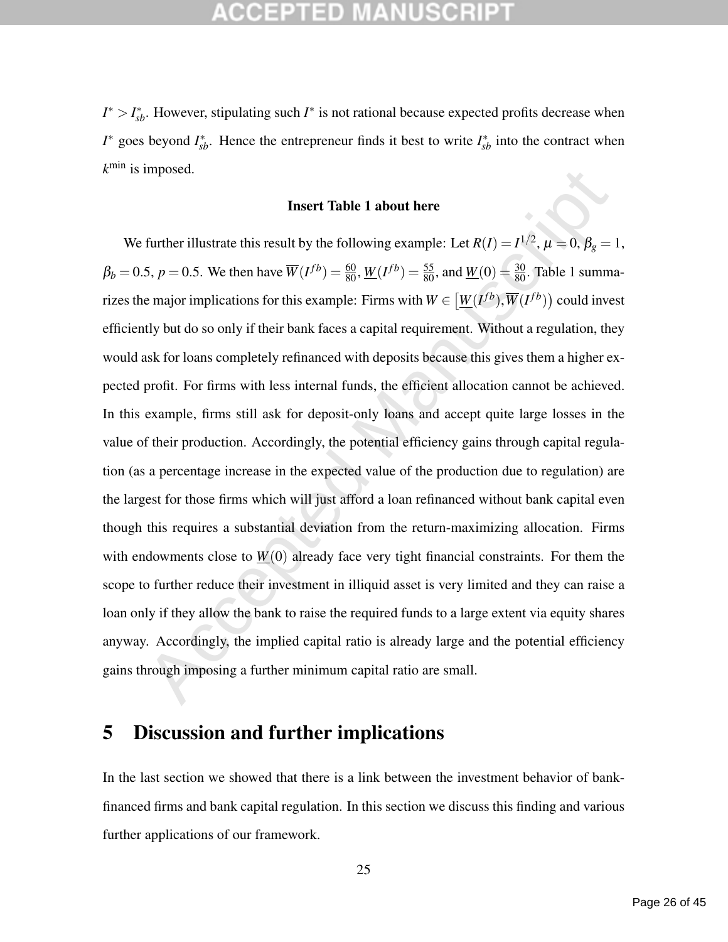## TED

 $I^* > I_{sb}^*$ . However, stipulating such  $I^*$  is not rational because expected profits decrease when *I*<sup>\*</sup> goes beyond  $I_{sb}^*$ . Hence the entrepreneur finds it best to write  $I_{sb}^*$  into the contract when *k* min is imposed.

### Insert Table 1 about here

Insert Table 1 about here<br>
further illustrate this result by the following example: Let  $R(I) = I^{1/2}$ ,  $\mu = 0$ ,  $\beta_g = 5$ ,  $p = 0.5$ . We then have  $W(I^{fb}) = \frac{60}{80}$ ,  $\underline{W}(I^{fb}) = \frac{60}{80}$ , and  $\underline{W}(0) = \frac{30}{80}$ , Table 1 We further illustrate this result by the following example: Let  $R(I) = I^{1/2}$ ,  $\mu = 0$ ,  $\beta_g = 1$ ,  $\beta_b = 0.5, p = 0.5$ . We then have  $\overline{W}(I^{fb}) = \frac{60}{80}, \underline{W}(I^{fb}) = \frac{55}{80}$ , and  $\underline{W}(0) = \frac{30}{80}$ . Table 1 summarizes the major implications for this example: Firms with  $W \in \left[ \underline{W}(I^{fb}), \overline{W}(I^{fb}) \right)$  could invest efficiently but do so only if their bank faces a capital requirement. Without a regulation, they would ask for loans completely refinanced with deposits because this gives them a higher expected profit. For firms with less internal funds, the efficient allocation cannot be achieved. In this example, firms still ask for deposit-only loans and accept quite large losses in the value of their production. Accordingly, the potential efficiency gains through capital regulation (as a percentage increase in the expected value of the production due to regulation) are the largest for those firms which will just afford a loan refinanced without bank capital even though this requires a substantial deviation from the return-maximizing allocation. Firms with endowments close to  $W(0)$  already face very tight financial constraints. For them the scope to further reduce their investment in illiquid asset is very limited and they can raise a loan only if they allow the bank to raise the required funds to a large extent via equity shares anyway. Accordingly, the implied capital ratio is already large and the potential efficiency gains through imposing a further minimum capital ratio are small.

### 5 Discussion and further implications

In the last section we showed that there is a link between the investment behavior of bankfinanced firms and bank capital regulation. In this section we discuss this finding and various further applications of our framework.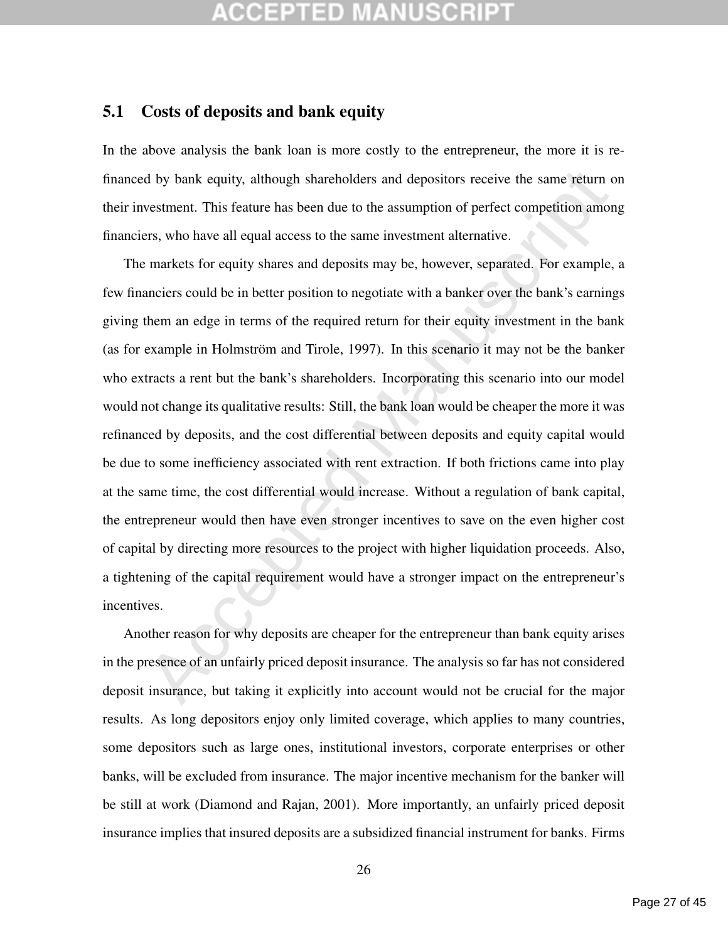### 5.1 Costs of deposits and bank equity

In the above analysis the bank loan is more costly to the entrepreneur, the more it is refinanced by bank equity, although shareholders and depositors receive the same return on their investment. This feature has been due to the assumption of perfect competition among financiers, who have all equal access to the same investment alternative.

d by bank equity, although shareholders and depositors receive the same return ovestment. This feature has been due to the assumption of perfect competition amon<br>ers, who have all equal access to the same investment altern The markets for equity shares and deposits may be, however, separated. For example, a few financiers could be in better position to negotiate with a banker over the bank's earnings giving them an edge in terms of the required return for their equity investment in the bank (as for example in Holmström and Tirole,  $1997$ ). In this scenario it may not be the banker who extracts a rent but the bank's shareholders. Incorporating this scenario into our model would not change its qualitative results: Still, the bank loan would be cheaper the more it was refinanced by deposits, and the cost differential between deposits and equity capital would be due to some inefficiency associated with rent extraction. If both frictions came into play at the same time, the cost differential would increase. Without a regulation of bank capital, the entrepreneur would then have even stronger incentives to save on the even higher cost of capital by directing more resources to the project with higher liquidation proceeds. Also, a tightening of the capital requirement would have a stronger impact on the entrepreneur's incentives.

Another reason for why deposits are cheaper for the entrepreneur than bank equity arises in the presence of an unfairly priced deposit insurance. The analysis so far has not considered deposit insurance, but taking it explicitly into account would not be crucial for the major results. As long depositors enjoy only limited coverage, which applies to many countries, some depositors such as large ones, institutional investors, corporate enterprises or other banks, will be excluded from insurance. The major incentive mechanism for the banker will be still at work (Diamond and Rajan, 2001). More importantly, an unfairly priced deposit insurance implies that insured deposits are a subsidized financial instrument for banks. Firms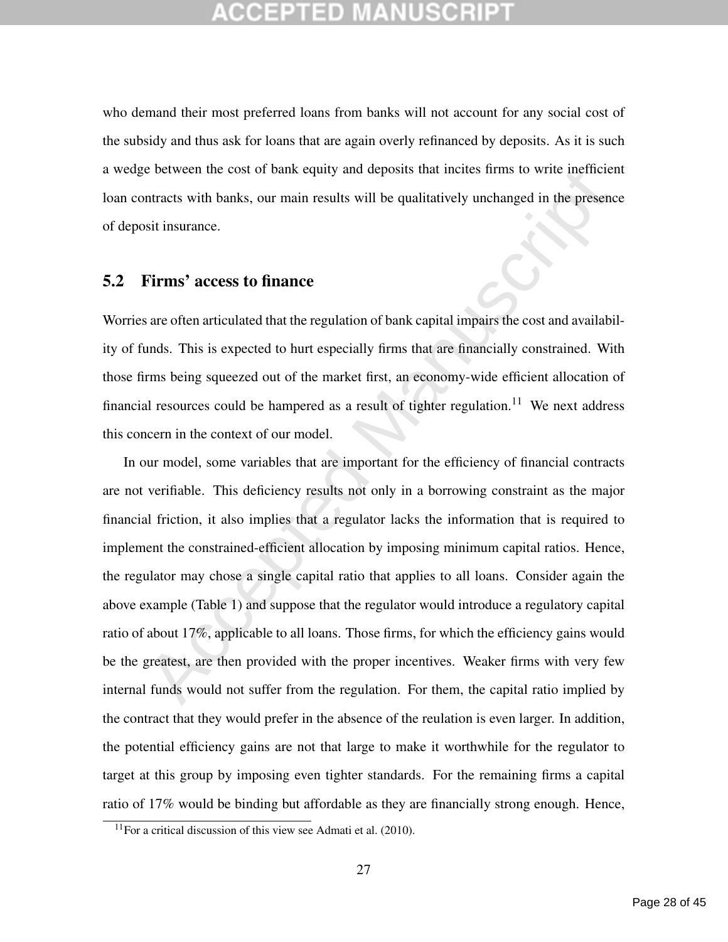who demand their most preferred loans from banks will not account for any social cost of the subsidy and thus ask for loans that are again overly refinanced by deposits. As it is such a wedge between the cost of bank equity and deposits that incites firms to write inefficient loan contracts with banks, our main results will be qualitatively unchanged in the presence of deposit insurance.

### 5.2 Firms' access to finance

Worries are often articulated that the regulation of bank capital impairs the cost and availability of funds. This is expected to hurt especially firms that are financially constrained. With those firms being squeezed out of the market first, an economy-wide efficient allocation of financial resources could be hampered as a result of tighter regulation.<sup>11</sup> We next address this concern in the context of our model.

between the cost of bank equity and deposits that incites hims to write inefinder<br>thracts with banks, our main results will be qualitatively unchanged in the presence<br>sit insurance.<br>Firms' access to finance<br>Firms' access t In our model, some variables that are important for the efficiency of financial contracts are not verifiable. This deficiency results not only in a borrowing constraint as the major financial friction, it also implies that a regulator lacks the information that is required to implement the constrained-efficient allocation by imposing minimum capital ratios. Hence, the regulator may chose a single capital ratio that applies to all loans. Consider again the above example (Table 1) and suppose that the regulator would introduce a regulatory capital ratio of about 17%, applicable to all loans. Those firms, for which the efficiency gains would be the greatest, are then provided with the proper incentives. Weaker firms with very few internal funds would not suffer from the regulation. For them, the capital ratio implied by the contract that they would prefer in the absence of the reulation is even larger. In addition, the potential efficiency gains are not that large to make it worthwhile for the regulator to target at this group by imposing even tighter standards. For the remaining firms a capital ratio of 17% would be binding but affordable as they are financially strong enough. Hence,

 $11$ For a critical discussion of this view see Admati et al. (2010).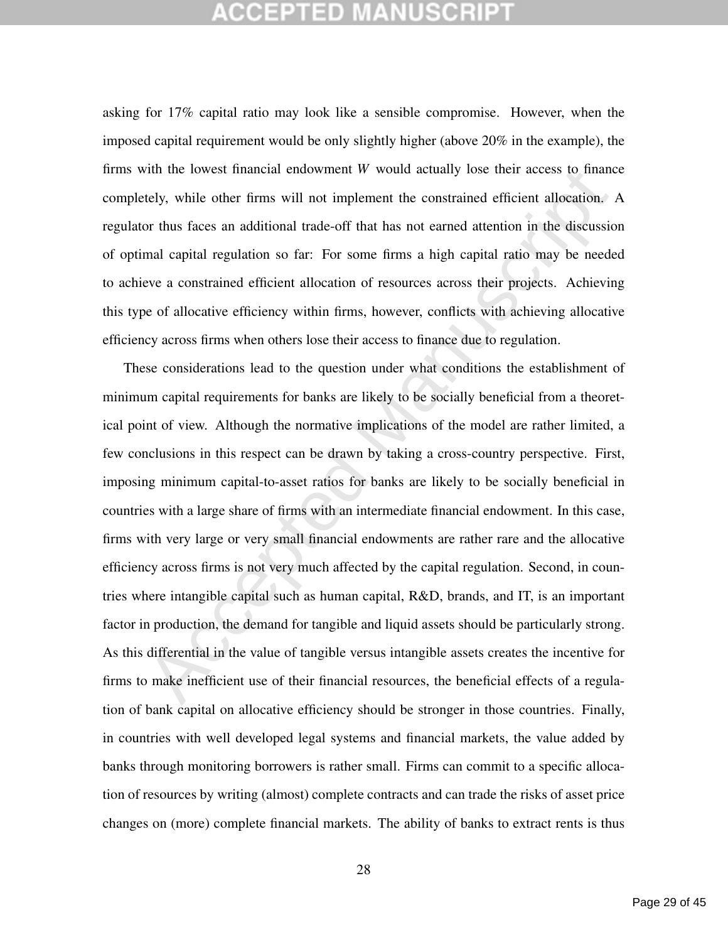## **CCEPTED MANUSCRI**

asking for 17% capital ratio may look like a sensible compromise. However, when the imposed capital requirement would be only slightly higher (above 20% in the example), the firms with the lowest financial endowment *W* would actually lose their access to finance completely, while other firms will not implement the constrained efficient allocation. A regulator thus faces an additional trade-off that has not earned attention in the discussion of optimal capital regulation so far: For some firms a high capital ratio may be needed to achieve a constrained efficient allocation of resources across their projects. Achieving this type of allocative efficiency within firms, however, conflicts with achieving allocative efficiency across firms when others lose their access to finance due to regulation.

of the lowest mancial endowment W would actually lose their access to hnance<br>tely, while other firms will not implement the constrained efficient allocation.<br>In or thus faces an additional trade-off that has not carned att These considerations lead to the question under what conditions the establishment of minimum capital requirements for banks are likely to be socially beneficial from a theoretical point of view. Although the normative implications of the model are rather limited, a few conclusions in this respect can be drawn by taking a cross-country perspective. First, imposing minimum capital-to-asset ratios for banks are likely to be socially beneficial in countries with a large share of firms with an intermediate financial endowment. In this case, firms with very large or very small financial endowments are rather rare and the allocative efficiency across firms is not very much affected by the capital regulation. Second, in countries where intangible capital such as human capital, R&D, brands, and IT, is an important factor in production, the demand for tangible and liquid assets should be particularly strong. As this differential in the value of tangible versus intangible assets creates the incentive for firms to make inefficient use of their financial resources, the beneficial effects of a regulation of bank capital on allocative efficiency should be stronger in those countries. Finally, in countries with well developed legal systems and financial markets, the value added by banks through monitoring borrowers is rather small. Firms can commit to a specific allocation of resources by writing (almost) complete contracts and can trade the risks of asset price changes on (more) complete financial markets. The ability of banks to extract rents is thus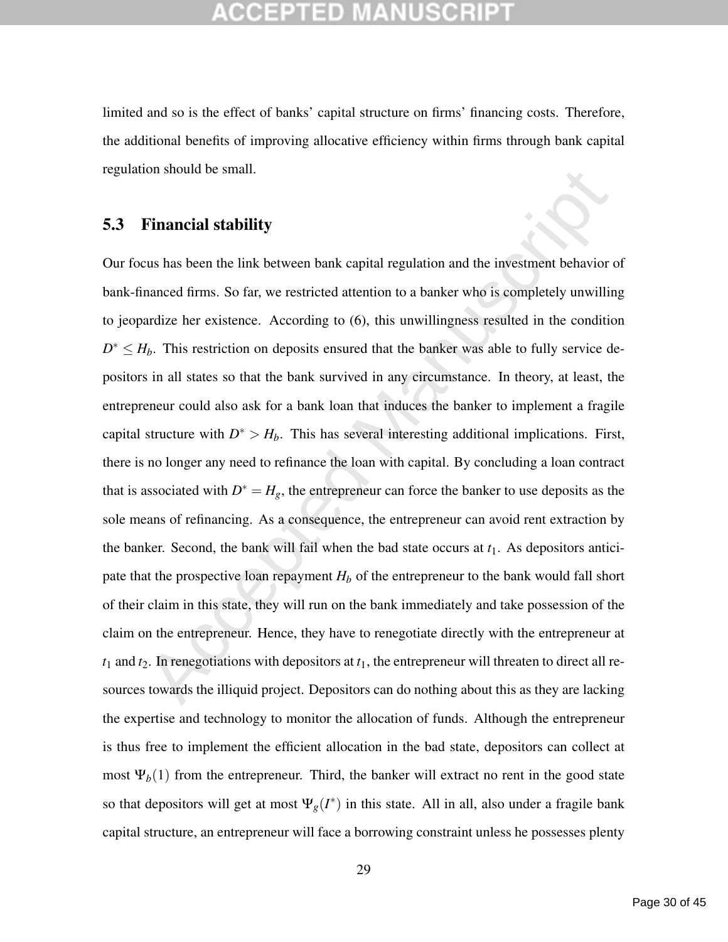limited and so is the effect of banks' capital structure on firms' financing costs. Therefore, the additional benefits of improving allocative efficiency within firms through bank capital regulation should be small.

### 5.3 Financial stability

Financial stability<br>
Financial stability<br>
Ens has been the link between bank capital regulation and the investment behavior<br>
nanced firms. So far, we restricted attention to a banker who is completely unwill<br>
ardize her e Our focus has been the link between bank capital regulation and the investment behavior of bank-financed firms. So far, we restricted attention to a banker who is completely unwilling to jeopardize her existence. According to (6), this unwillingness resulted in the condition  $D^* \leq H_b$ . This restriction on deposits ensured that the banker was able to fully service depositors in all states so that the bank survived in any circumstance. In theory, at least, the entrepreneur could also ask for a bank loan that induces the banker to implement a fragile capital structure with  $D^* > H_b$ . This has several interesting additional implications. First, there is no longer any need to refinance the loan with capital. By concluding a loan contract that is associated with  $D^* = H_g$ , the entrepreneur can force the banker to use deposits as the sole means of refinancing. As a consequence, the entrepreneur can avoid rent extraction by the banker. Second, the bank will fail when the bad state occurs at  $t_1$ . As depositors anticipate that the prospective loan repayment  $H_b$  of the entrepreneur to the bank would fall short of their claim in this state, they will run on the bank immediately and take possession of the claim on the entrepreneur. Hence, they have to renegotiate directly with the entrepreneur at  $t_1$  and  $t_2$ . In renegotiations with depositors at  $t_1$ , the entrepreneur will threaten to direct all resources towards the illiquid project. Depositors can do nothing about this as they are lacking the expertise and technology to monitor the allocation of funds. Although the entrepreneur is thus free to implement the efficient allocation in the bad state, depositors can collect at most  $\Psi_b(1)$  from the entrepreneur. Third, the banker will extract no rent in the good state so that depositors will get at most  $\Psi_g(I^*)$  in this state. All in all, also under a fragile bank capital structure, an entrepreneur will face a borrowing constraint unless he possesses plenty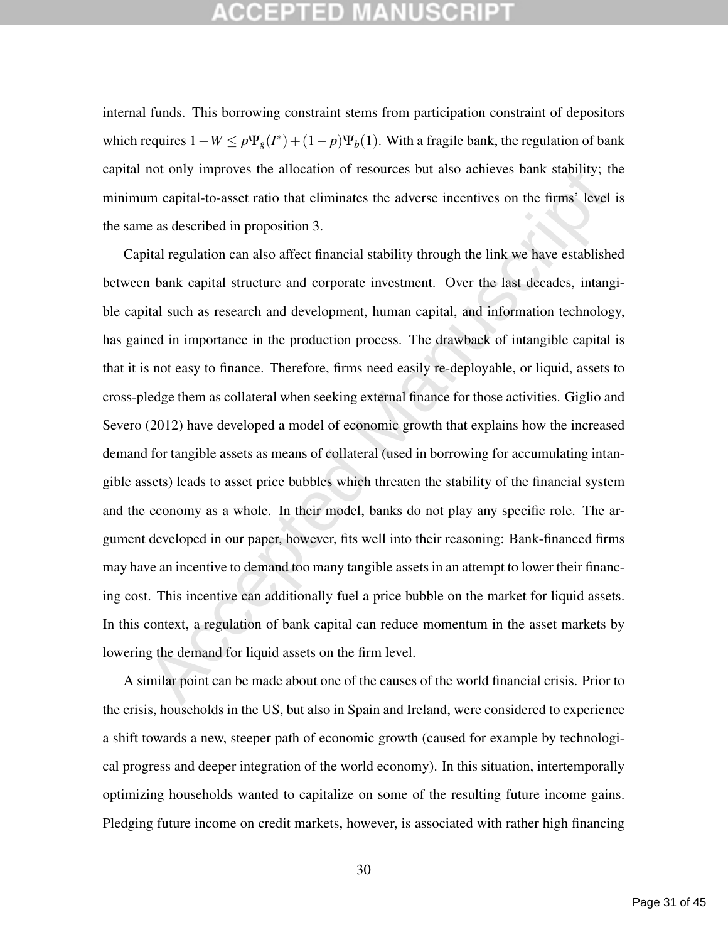### **CEPTED MANUSCR**

internal funds. This borrowing constraint stems from participation constraint of depositors which requires  $1 - W \leq p \Psi_g(I^*) + (1 - p) \Psi_b(1)$ . With a fragile bank, the regulation of bank capital not only improves the allocation of resources but also achieves bank stability; the minimum capital-to-asset ratio that eliminates the adverse incentives on the firms' level is the same as described in proposition 3.

not only improves the allocation of resources but also achieves bank stability; then capital-to-asset ratio that eliminates the adverse incentives on the firms' level is<br>a described in proposition 3.<br>tidl regulation can al Capital regulation can also affect financial stability through the link we have established between bank capital structure and corporate investment. Over the last decades, intangible capital such as research and development, human capital, and information technology, has gained in importance in the production process. The drawback of intangible capital is that it is not easy to finance. Therefore, firms need easily re-deployable, or liquid, assets to cross-pledge them as collateral when seeking external finance for those activities. Giglio and Severo (2012) have developed a model of economic growth that explains how the increased demand for tangible assets as means of collateral (used in borrowing for accumulating intangible assets) leads to asset price bubbles which threaten the stability of the financial system and the economy as a whole. In their model, banks do not play any specific role. The argument developed in our paper, however, fits well into their reasoning: Bank-financed firms may have an incentive to demand too many tangible assets in an attempt to lower their financing cost. This incentive can additionally fuel a price bubble on the market for liquid assets. In this context, a regulation of bank capital can reduce momentum in the asset markets by lowering the demand for liquid assets on the firm level.

A similar point can be made about one of the causes of the world financial crisis. Prior to the crisis, households in the US, but also in Spain and Ireland, were considered to experience a shift towards a new, steeper path of economic growth (caused for example by technological progress and deeper integration of the world economy). In this situation, intertemporally optimizing households wanted to capitalize on some of the resulting future income gains. Pledging future income on credit markets, however, is associated with rather high financing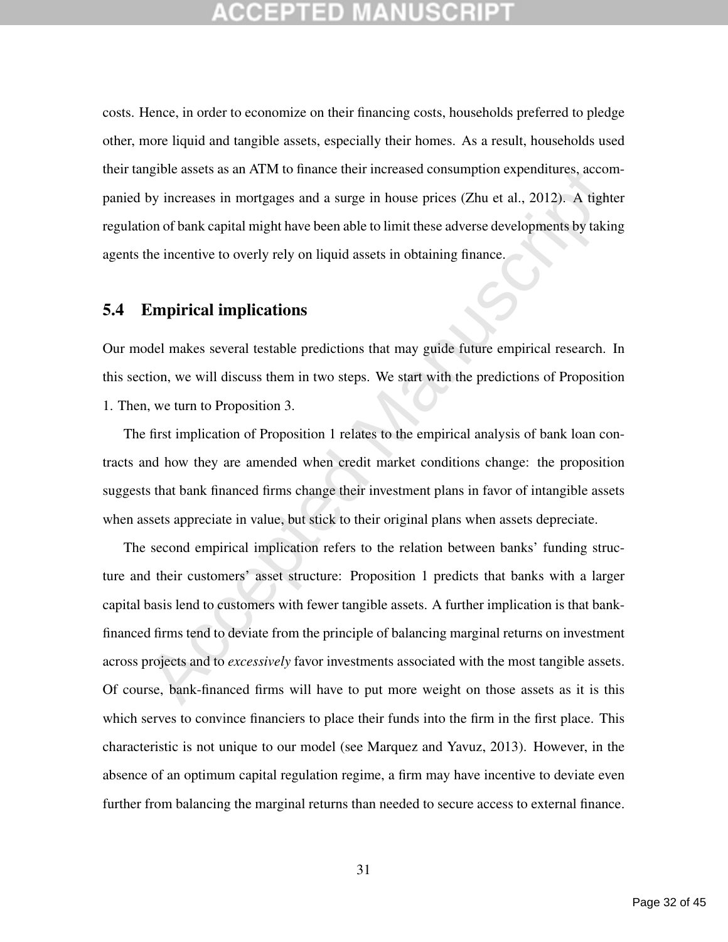costs. Hence, in order to economize on their financing costs, households preferred to pledge other, more liquid and tangible assets, especially their homes. As a result, households used their tangible assets as an ATM to finance their increased consumption expenditures, accompanied by increases in mortgages and a surge in house prices (Zhu et al., 2012). A tighter regulation of bank capital might have been able to limit these adverse developments by taking agents the incentive to overly rely on liquid assets in obtaining finance.

### 5.4 Empirical implications

Our model makes several testable predictions that may guide future empirical research. In this section, we will discuss them in two steps. We start with the predictions of Proposition 1. Then, we turn to Proposition 3.

The first implication of Proposition 1 relates to the empirical analysis of bank loan contracts and how they are amended when credit market conditions change: the proposition suggests that bank financed firms change their investment plans in favor of intangible assets when assets appreciate in value, but stick to their original plans when assets depreciate.

manula assets as an AIM to mance their increased consumption expenditures, accom<br>by increases in mortgages and a surge in house prices (Zhu et al., 2012). A fight<br>on of bank capital might have been able to limit these adve The second empirical implication refers to the relation between banks' funding structure and their customers' asset structure: Proposition 1 predicts that banks with a larger capital basis lend to customers with fewer tangible assets. A further implication is that bankfinanced firms tend to deviate from the principle of balancing marginal returns on investment across projects and to *excessively* favor investments associated with the most tangible assets. Of course, bank-financed firms will have to put more weight on those assets as it is this which serves to convince financiers to place their funds into the firm in the first place. This characteristic is not unique to our model (see Marquez and Yavuz, 2013). However, in the absence of an optimum capital regulation regime, a firm may have incentive to deviate even further from balancing the marginal returns than needed to secure access to external finance.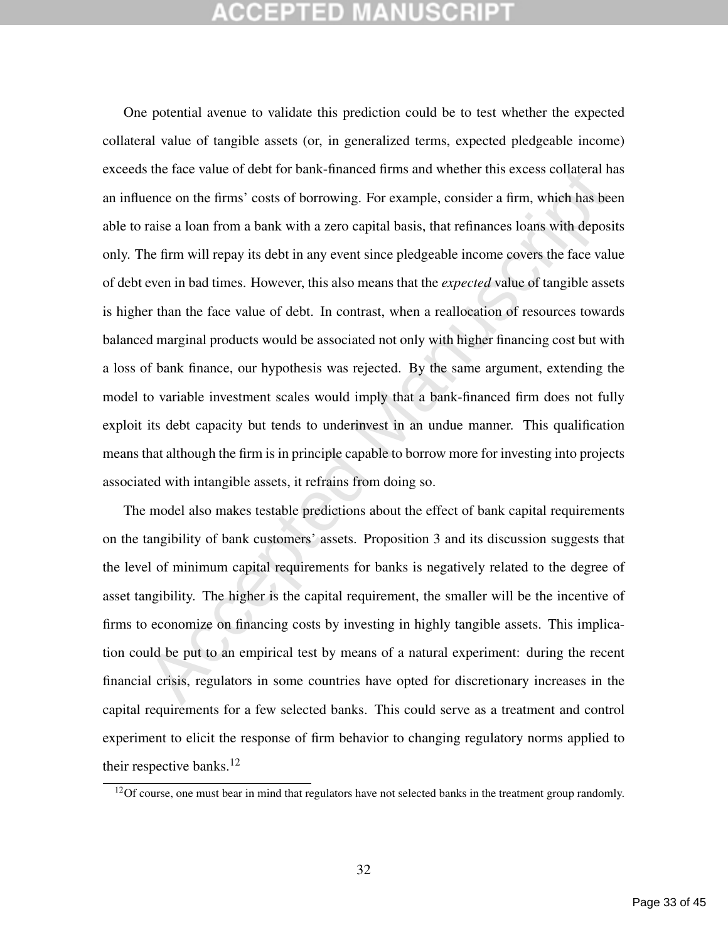# **CCEPTED MANUSCRIP**

stime that the manner and the manner and whether this excess collateral has the tase wall of the memos on the firms' costs of borrowing. For example, consider a firm, which has been raise a loan from a bank with a zero cap One potential avenue to validate this prediction could be to test whether the expected collateral value of tangible assets (or, in generalized terms, expected pledgeable income) exceeds the face value of debt for bank-financed firms and whether this excess collateral has an influence on the firms' costs of borrowing. For example, consider a firm, which has been able to raise a loan from a bank with a zero capital basis, that refinances loans with deposits only. The firm will repay its debt in any event since pledgeable income covers the face value of debt even in bad times. However, this also means that the *expected* value of tangible assets is higher than the face value of debt. In contrast, when a reallocation of resources towards balanced marginal products would be associated not only with higher financing cost but with a loss of bank finance, our hypothesis was rejected. By the same argument, extending the model to variable investment scales would imply that a bank-financed firm does not fully exploit its debt capacity but tends to underinvest in an undue manner. This qualification means that although the firm is in principle capable to borrow more for investing into projects associated with intangible assets, it refrains from doing so.

The model also makes testable predictions about the effect of bank capital requirements on the tangibility of bank customers' assets. Proposition 3 and its discussion suggests that the level of minimum capital requirements for banks is negatively related to the degree of asset tangibility. The higher is the capital requirement, the smaller will be the incentive of firms to economize on financing costs by investing in highly tangible assets. This implication could be put to an empirical test by means of a natural experiment: during the recent financial crisis, regulators in some countries have opted for discretionary increases in the capital requirements for a few selected banks. This could serve as a treatment and control experiment to elicit the response of firm behavior to changing regulatory norms applied to their respective banks.<sup>12</sup>

<sup>&</sup>lt;sup>12</sup>Of course, one must bear in mind that regulators have not selected banks in the treatment group randomly.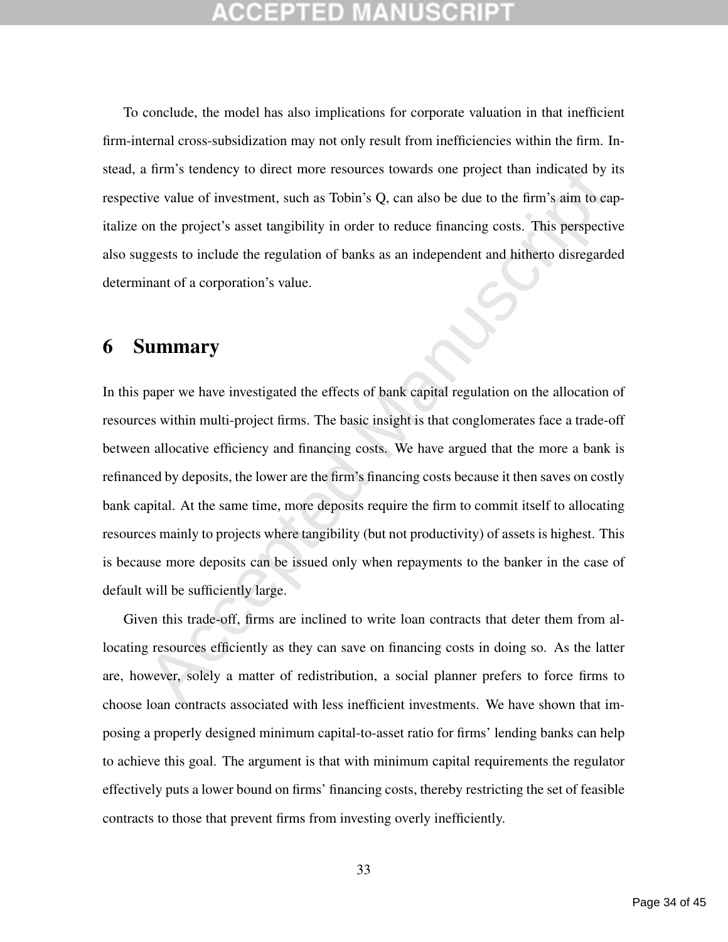To conclude, the model has also implications for corporate valuation in that inefficient firm-internal cross-subsidization may not only result from inefficiencies within the firm. Instead, a firm's tendency to direct more resources towards one project than indicated by its respective value of investment, such as Tobin's Q, can also be due to the firm's aim to capitalize on the project's asset tangibility in order to reduce financing costs. This perspective also suggests to include the regulation of banks as an independent and hitherto disregarded determinant of a corporation's value.

### 6 Summary

The steadency to direct more resources towards one project than indicated by it<br>ive value of investment, such as Tobin's Q, can also be due to the firm's aim to eap<br>on the project's asset tangibility in order to reduce fin In this paper we have investigated the effects of bank capital regulation on the allocation of resources within multi-project firms. The basic insight is that conglomerates face a trade-off between allocative efficiency and financing costs. We have argued that the more a bank is refinanced by deposits, the lower are the firm's financing costs because it then saves on costly bank capital. At the same time, more deposits require the firm to commit itself to allocating resources mainly to projects where tangibility (but not productivity) of assets is highest. This is because more deposits can be issued only when repayments to the banker in the case of default will be sufficiently large.

Given this trade-off, firms are inclined to write loan contracts that deter them from allocating resources efficiently as they can save on financing costs in doing so. As the latter are, however, solely a matter of redistribution, a social planner prefers to force firms to choose loan contracts associated with less inefficient investments. We have shown that imposing a properly designed minimum capital-to-asset ratio for firms' lending banks can help to achieve this goal. The argument is that with minimum capital requirements the regulator effectively puts a lower bound on firms' financing costs, thereby restricting the set of feasible contracts to those that prevent firms from investing overly inefficiently.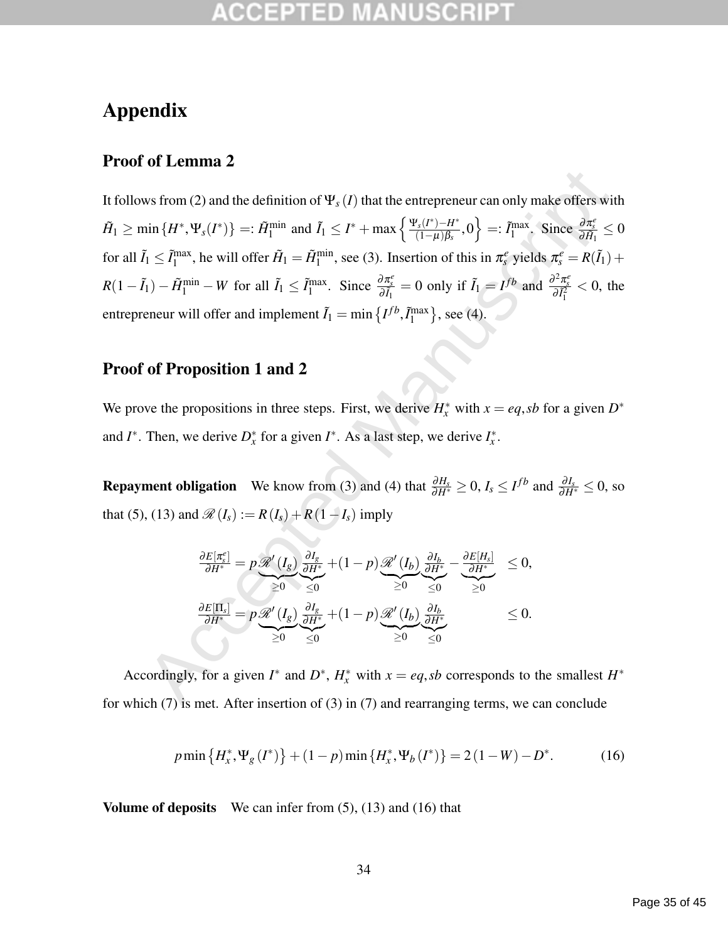### Appendix

### Proof of Lemma 2

Accept 12 and the definition of  $\Psi_s(t)$  that the entrepreneur can only make offers with  $\{H^s, \Psi_s(t^r)\} =: \vec{H}_1^{\text{min}}$  and  $\vec{I}_1 \leq \vec{I}^r + \max\left\{\frac{\Psi_s(t^r) - H^s}{(1 - \mu)\beta_s}, 0\right\} =: \vec{I}_1^{\text{max}}$ . Since  $\frac{\partial \pi_i}{\partial I_1} \leq \vec{I}_$ It follows from (2) and the definition of  $\Psi_s(I)$  that the entrepreneur can only make offers with  $\tilde{H}_1 \ge \min\{H^*, \Psi_s(I^*)\} =: \tilde{H}_1^{\min} \text{ and } \tilde{I}_1 \le I^* + \max\left\{\frac{\Psi_s(I^*) - H^*}{(1-\mu)\beta_s}\right\}$  $\left\{\frac{f_s(I^*)-H^*}{(1-\mu)\beta_s},0\right\}=: \tilde{I}_1^{\max}$  $\frac{\partial \pi_s^e}{\partial \tilde{H}_1} \leq 0$ for all  $\tilde{I}_1 \leq \tilde{I}_1^{\max}$  $\tilde{H}_1^{\text{max}}$ , he will offer  $\tilde{H}_1 = \tilde{H}_1^{\text{min}}$ , see (3). Insertion of this in  $\pi_s^e$  yields  $\pi_s^e = R(\tilde{I}_1) + R(\tilde{I}_2)$  $R(1 - \tilde{I}_1) - \tilde{H}_1^{\text{min}} - W$  for all  $\tilde{I}_1 \leq \tilde{I}_1^{\text{max}}$  $\int_{1}^{\text{max}}$ . Since  $\frac{\partial \pi_s^e}{\partial \tilde{l}_1} = 0$  only if  $\tilde{l}_1 = I^{fb}$  and  $\frac{\partial^2 \pi_s^e}{\partial \tilde{l}_1^2} < 0$ , the entrepreneur will offer and implement  $\tilde{I}_1 = \min \left\{ I^{fb}, \tilde{I}_1^{\max} \right\}$  $\begin{bmatrix} \max_1 \\ 1 \end{bmatrix}$ , see (4).

### Proof of Proposition 1 and 2

We prove the propositions in three steps. First, we derive  $H_x^*$  with  $x = eq, sb$  for a given  $D^*$ and  $I^*$ . Then, we derive  $D_x^*$  for a given  $I^*$ . As a last step, we derive  $I_x^*$ .

**Repayment obligation** We know from (3) and (4) that  $\frac{\partial H_s}{\partial H^*} \ge 0$ ,  $I_s \le I^{fb}$  and  $\frac{\partial I_s}{\partial H^*} \le 0$ , so that (5), (13) and  $\mathcal{R}(I_s) := R(I_s) + R(1 - I_s)$  imply

$$
\frac{\partial E[\pi_s^e]}{\partial H^*} = p \mathcal{R}'(I_g) \underbrace{\frac{\partial I_g}{\partial H^*}}_{\geq 0} + (1-p) \mathcal{R}'(I_b) \underbrace{\frac{\partial I_b}{\partial H^*}}_{\geq 0} - \underbrace{\frac{\partial E[H_s]}{\partial H^*}}_{\leq 0} \leq 0, \n\frac{\partial E[\Pi_s]}{\partial H^*} = p \mathcal{R}'(I_g) \underbrace{\frac{\partial I_g}{\partial H^*}}_{\geq 0} + (1-p) \mathcal{R}'(I_b) \underbrace{\frac{\partial I_b}{\partial H^*}}_{\geq 0} - \underbrace{\frac{\partial E[H_s]}{\partial H^*}}_{\leq 0} \leq 0.
$$

Accordingly, for a given  $I^*$  and  $D^*$ ,  $H^*_x$  with  $x = eq$ , sb corresponds to the smallest  $H^*$ for which (7) is met. After insertion of (3) in (7) and rearranging terms, we can conclude

$$
p\min\{H_x^*,\Psi_g(I^*)\} + (1-p)\min\{H_x^*,\Psi_b(I^*)\} = 2(1-W) - D^*.
$$
 (16)

**Volume of deposits** We can infer from  $(5)$ ,  $(13)$  and  $(16)$  that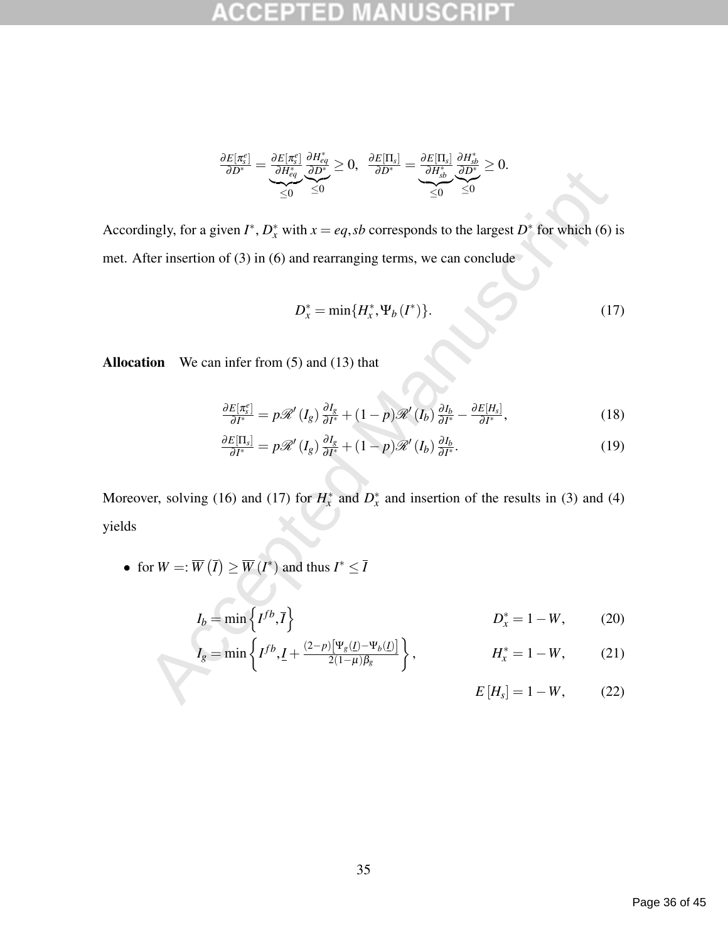$$
\frac{\partial E[\pi^\varepsilon_s]}{\partial D^*} = \underbrace{\frac{\partial E[\pi^\varepsilon_s]}{\partial H^*_{\varepsilon q}}}_{\leq 0} \underbrace{\frac{\partial H^*_{\varepsilon q}}{\partial D^*}}_{\leq 0} \geq 0, \quad \frac{\partial E[\Pi_s]}{\partial D^*} = \underbrace{\frac{\partial E[\Pi_s]}{\partial H^*_{\varepsilon b}}}_{\leq 0} \underbrace{\frac{\partial H^*_{\varepsilon b}}{\partial D^*}}_{\leq 0} \geq 0.
$$

any  $\frac{\partial P^*}{\partial S} = \frac{\partial H_{\phi_0}}{\partial S} \frac{\partial P^*}{\partial S} = 0$ ,  $\frac{\partial P^*}{\partial S} = \frac{\partial H_{\phi_0}}{\partial S} \frac{\partial P^*}{\partial S} = 0$ .<br>
Singly, for a given  $I^*$ ,  $D_s^*$  with  $x = eq$ , sb corresponds to the largest  $D^*$  for which (6) ifter insertion of (3) in Accordingly, for a given  $I^*$ ,  $D_x^*$  with  $x = eq$ , sb corresponds to the largest  $D^*$  for which (6) is met. After insertion of (3) in (6) and rearranging terms, we can conclude

$$
D_x^* = \min\{H_x^*, \Psi_b(I^*)\}.
$$
 (17)

Allocation We can infer from  $(5)$  and  $(13)$  that

$$
\frac{\partial E[\pi_s^e]}{\partial I^*} = p\mathscr{R}'(I_g) \frac{\partial I_g}{\partial I^*} + (1-p)\mathscr{R}'(I_b) \frac{\partial I_b}{\partial I^*} - \frac{\partial E[H_s]}{\partial I^*},\tag{18}
$$

$$
\frac{\partial E[\Pi_s]}{\partial I^*} = p\mathscr{R}'(I_g) \frac{\partial I_g}{\partial I^*} + (1-p)\mathscr{R}'(I_b) \frac{\partial I_b}{\partial I^*}.
$$
\n(19)

Moreover, solving (16) and (17) for  $H_x^*$  and  $D_x^*$  and insertion of the results in (3) and (4) yields

• for  $W =: \overline{W}(\overline{I}) \ge \overline{W}(I^*)$  and thus  $I^* \le \overline{I}$ 

$$
I_b = \min\left\{I^{fb}, \bar{I}\right\} \qquad D_x^* = 1 - W, \qquad (20)
$$

$$
I_g = \min\left\{I^{fb}, \underline{I} + \frac{(2-p)[\Psi_g(\underline{I}) - \Psi_b(\underline{I})]}{2(1-\mu)\beta_g}\right\}, \qquad H_x^* = 1 - W, \qquad (21)
$$

$$
E[H_s] = 1 - W, \qquad (22)
$$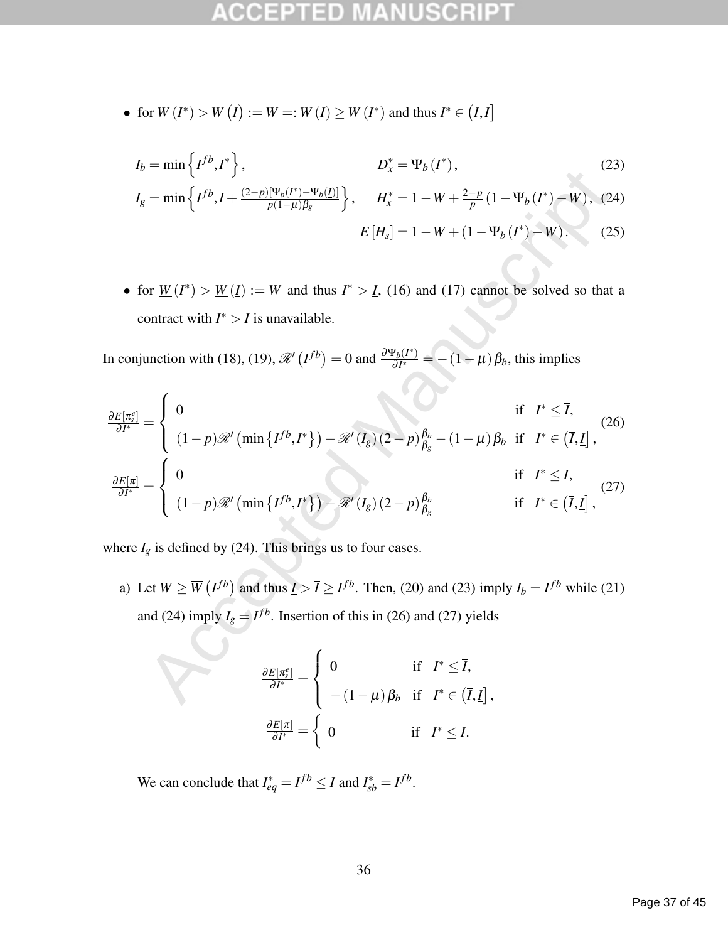• for 
$$
\overline{W}(I^*) > \overline{W}(\overline{I}) := W =: \underline{W}(I) \ge \underline{W}(I^*)
$$
 and thus  $I^* \in (\overline{I}, \underline{I}]$ 

$$
I_b = \min\left\{I^{fb}, I^*\right\}, \qquad D_x^* = \Psi_b(I^*), \qquad (23)
$$

$$
I_g = \min\left\{I^{fb}, \underline{I} + \frac{(2-p)[\Psi_b(I^*) - \Psi_b(\underline{I})]}{p(1-\mu)\beta_g}\right\}, \quad H_x^* = 1 - W + \frac{2-p}{p}(1 - \Psi_b(I^*) - W), \tag{24}
$$

$$
E[H_s] = 1 - W + (1 - \Psi_b(I^*) - W). \tag{25}
$$

• for  $W(I^*) > W(I) := W$  and thus  $I^* > I$ , (16) and (17) cannot be solved so that a contract with  $I^* > I$  is unavailable.

In conjunction with (18), (19),  $\mathcal{R}'(I^{fb}) = 0$  and  $\frac{\partial \Psi_b(I^*)}{\partial I^*}$  $\frac{\partial P_b(T)}{\partial T^*}$  =  $-(1-\mu)\beta_b$ , this implies

$$
I_{g} = \min\left\{I^{(b)}, I + \frac{(2-p)[\Psi_{b}(I^{*}) - \Psi_{b}(I)]}{p(1-p)\beta_{g}}\right\}, \quad H_{x}^{*} = 1 - W + \frac{2-p}{p}(1 - \Psi_{b}(I^{*}) - W), \quad (24)
$$
\n
$$
E[H_{s}] = 1 - W + (1 - \Psi_{b}(I^{*}) - W). \quad (25)
$$
\n• for  $\underline{W}(I^{*}) > \underline{W}(I) := W$  and thus  $I^{*} > I$ , (16) and (17) cannot be solved so that a contract with  $I^{*} > I$  is unavailable.  
\n**n** conjunction with (18), (19),  $\mathcal{R}'(I^{fb}) = 0$  and  $\frac{\partial \Psi_{b}(I^{*})}{\partial I^{*}} = -(1 - \mu)\beta_{b}$ , this implies\n
$$
\frac{\partial E[\pi_{s}^{e}]}{\partial I^{*}} = \begin{cases} 0 & \text{if } I^{*} \leq \overline{I}, \\ (1 - p)\mathcal{R}'(\min\{I^{fb}, I^{*}\}) - \mathcal{R}'(I_{g})(2 - p)\frac{\beta_{b}}{\beta_{g}} - (1 - \mu)\beta_{b} & \text{if } I^{*} \in (\overline{I}, I], \quad (26)
$$
\n
$$
\frac{\partial E[\pi]}{\partial I^{*}} = \begin{cases} 0 & \text{if } I^{*} \leq \overline{I}, \\ (1 - p)\mathcal{R}'(\min\{I^{fb}, I^{*}\}) - \mathcal{R}'(I_{g})(2 - p)\frac{\beta_{b}}{\beta_{g}} - (1 - \mu)\beta_{b} & \text{if } I^{*} \in (\overline{I}, I], \quad (27)
$$
\nwhere  $I_{g}$  is defined by (24). This brings us to four cases.  
\na) Let  $W \geq \overline{W}(I^{fb})$  and thus  $I > \overline{I} \geq I^{fb}$ . Then, (20) and (23) imply  $I_{b} = I^{fb}$  while (21) and (24) imply  $I_{g} = I^{fb}$ . Insertion of this in (26) and (27) yields\n
$$
\frac{\partial E[\pi_{s}^{e}]}{\partial I^{*}} = \begin{cases} 0 & \text{if } I^{*} \leq \overline{I}, \\ - (1 -
$$

where  $I_g$  is defined by (24). This brings us to four cases.

a) Let  $W \ge \overline{W}(I^{fb})$  and thus  $\overline{I} > \overline{I} \ge I^{fb}$ . Then, (20) and (23) imply  $I_b = I^{fb}$  while (21) and (24) imply  $I_g = I^{fb}$ . Insertion of this in (26) and (27) yields

$$
\frac{\partial E[\pi_s^e]}{\partial I^*} = \begin{cases} 0 & \text{if } I^* \leq \overline{I}, \\ - (1 - \mu) \beta_b & \text{if } I^* \in (\overline{I}, \underline{I}], \\ \frac{\partial E[\pi]}{\partial I^*} = \begin{cases} 0 & \text{if } I^* \leq \underline{I}. \end{cases} \end{cases}
$$

We can conclude that  $I_{eq}^* = I^{fb} \leq \overline{I}$  and  $I_{sb}^* = I^{fb}$ .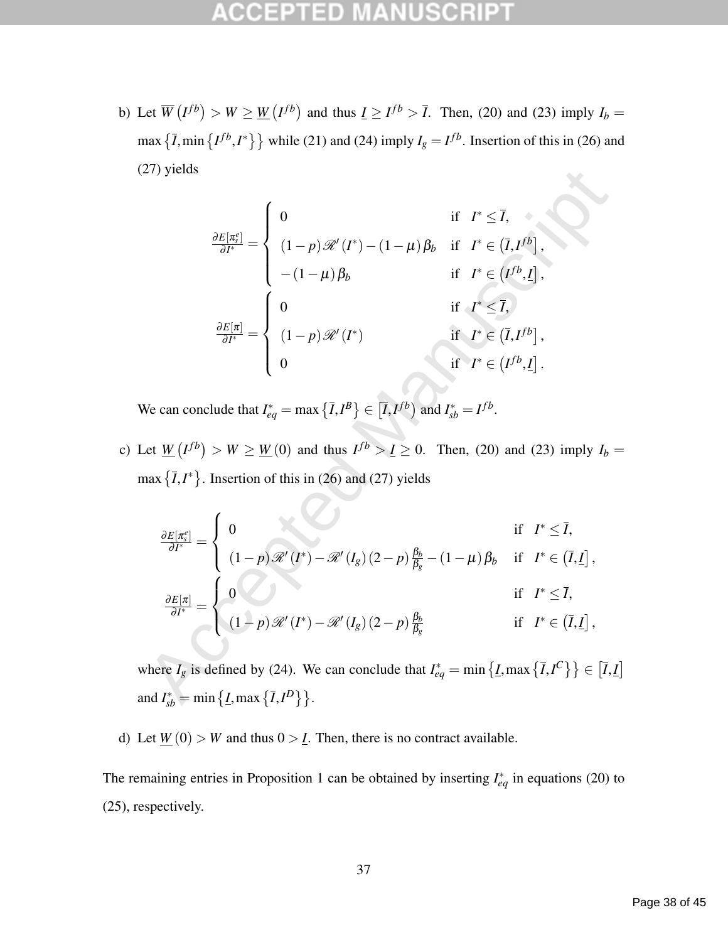b) Let  $\overline{W}(I^{fb}) > W \ge \underline{W}(I^{fb})$  and thus  $\underline{I} \ge I^{fb} > \overline{I}$ . Then, (20) and (23) imply  $I_b =$  $\max\left\{I,\min\left\{I^{fb},I^*\right\}\right\}$  while (21) and (24) imply  $I_g = I^{fb}$ . Insertion of this in (26) and (27) yields

$$
2I) \text{ yields}
$$
\n
$$
\frac{\partial E[\pi_{\xi}^{c}]}{\partial I^{*}} = \begin{cases}\n0 & \text{if } I^{*} \leq \overline{I}, \\
(1-p) \mathscr{R}'(I^{*}) - (1-\mu)\beta_{b} & \text{if } I^{*} \in (\overline{I}, I^{f_{B}}], \\
-(1-\mu)\beta_{b} & \text{if } I^{*} \in (I^{fb}, I], \\
\frac{\partial E[\pi]}{\partial I^{*}} = \begin{cases}\n0 & \text{if } I^{*} \leq \overline{I}, \\
(1-p) \mathscr{R}'(I^{*}) & \text{if } I^{*} \in (\overline{I}, I^{f_{B}}], \\
0 & \text{if } I^{*} \in (I^{fb}, I].\n\end{cases}
$$
\nWe can conclude that  $I_{eq}^{*} = \max \{\overline{I}, I^{B}\} \in [\overline{I}, I^{fb}]$  and  $I_{sb}^{*} = I^{fb}$ .  
\net  $\underline{W}(I^{fb}) > W \geq \underline{W}(0)$  and thus  $I^{fb} > I \geq 0$ . Then, (20) and (23) imply  $I_{b}$  =  
\n
$$
\frac{\partial E[\pi_{\xi}]}{\partial I^{*}} = \begin{cases}\n0 & \text{if } I^{*} \leq \overline{I}, \\
(1-p) \mathscr{R}'(I^{*}) - \mathscr{R}'(I_{g})(2-p) \frac{\beta_{b}}{\beta_{g}} - (1-p) \beta_{b} & \text{if } I^{*} \in (\overline{I}, I], \\
\frac{\partial E[\pi]}{\partial I^{*}} = \begin{cases}\n0 & \text{if } I^{*} \leq \overline{I}, \\
(1-p) \mathscr{R}'(I^{*}) - \mathscr{R}'(I_{g})(2-p) \frac{\beta_{b}}{\beta_{g}} & \text{if } I^{*} \in (\overline{I}, I], \\
(1-p) \mathscr{R}'(I^{*}) - \mathscr{R}'(I_{g})(2-p) \frac{\beta_{b}}{\beta_{g}} & \text{if } I^{*} \in (\overline{I}, I],\n\end{cases}
$$
\nwhere  $I_{g}$  is defined by (24). We can conclude that  $I_{eq}^{*} = \min \{I, \max \{\overline{I}, I^{C}\}\} \in [\overline{I}, I^{c}]$ ,

We can conclude that  $I_{eq}^* = \max\left\{\overline{I}, I^B\right\} \in \left[\overline{I}, I^{fb}\right]$  and  $I_{sb}^* = I^{fb}$ .

c) Let  $\underline{W}(I^{fb}) > W \ge \underline{W}(0)$  and thus  $I^{fb} > I \ge 0$ . Then, (20) and (23) imply  $I_b =$ max  $\{\bar{I}, I^*\}$ . Insertion of this in (26) and (27) yields

$$
\frac{\partial E[\pi_s^e]}{\partial I^*} = \begin{cases}\n0 & \text{if } I^* \leq \overline{I}, \\
(1-p)\mathcal{R}'(I^*) - \mathcal{R}'(I_g)(2-p)\frac{\beta_b}{\beta_g} - (1-\mu)\beta_b & \text{if } I^* \in (\overline{I},\underline{I}], \\
\frac{\partial E[\pi]}{\partial I^*} = \begin{cases}\n0 & \text{if } I^* \leq \overline{I}, \\
(1-p)\mathcal{R}'(I^*) - \mathcal{R}'(I_g)(2-p)\frac{\beta_b}{\beta_g} & \text{if } I^* \in (\overline{I},\underline{I}],\n\end{cases}
$$

where  $I_g$  is defined by (24). We can conclude that  $I_{eq}^* = \min\{I, \max\{I, I^C\}\} \in [I, I]$ and  $I_{sb}^* = \min \{ \underline{I}, \max \{ \overline{I}, I^D \} \}$ .

d) Let  $W(0) > W$  and thus  $0 > I$ . Then, there is no contract available.

The remaining entries in Proposition 1 can be obtained by inserting  $I_{eq}^*$  in equations (20) to (25), respectively.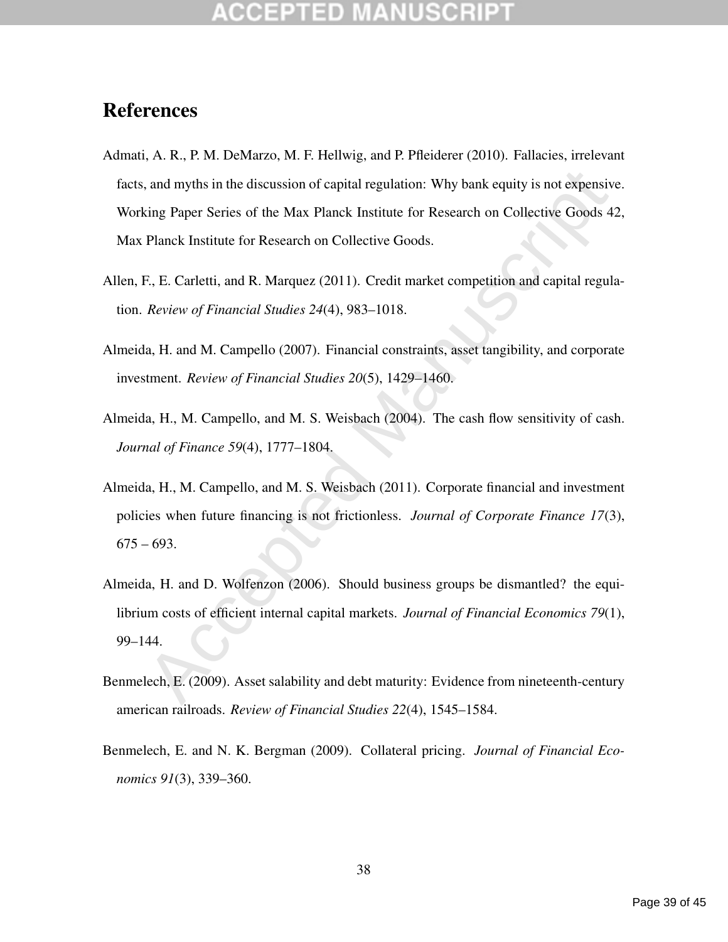### References

- and myths in the discussion of capital regulation: Why bank equity is not expensive change Paper Series of the Max Planck Institute for Research on Collective Goods 4: Planck Institute for Research on Collective Goods.<br>
P Admati, A. R., P. M. DeMarzo, M. F. Hellwig, and P. Pfleiderer (2010). Fallacies, irrelevant facts, and myths in the discussion of capital regulation: Why bank equity is not expensive. Working Paper Series of the Max Planck Institute for Research on Collective Goods 42, Max Planck Institute for Research on Collective Goods.
- Allen, F., E. Carletti, and R. Marquez (2011). Credit market competition and capital regulation. *Review of Financial Studies 24*(4), 983–1018.
- Almeida, H. and M. Campello (2007). Financial constraints, asset tangibility, and corporate investment. *Review of Financial Studies 20*(5), 1429–1460.
- Almeida, H., M. Campello, and M. S. Weisbach (2004). The cash flow sensitivity of cash. *Journal of Finance 59*(4), 1777–1804.
- Almeida, H., M. Campello, and M. S. Weisbach (2011). Corporate financial and investment policies when future financing is not frictionless. *Journal of Corporate Finance 17*(3),  $675 - 693.$
- Almeida, H. and D. Wolfenzon (2006). Should business groups be dismantled? the equilibrium costs of efficient internal capital markets. *Journal of Financial Economics 79*(1), 99–144.
- Benmelech, E. (2009). Asset salability and debt maturity: Evidence from nineteenth-century american railroads. *Review of Financial Studies 22*(4), 1545–1584.
- Benmelech, E. and N. K. Bergman (2009). Collateral pricing. *Journal of Financial Economics 91*(3), 339–360.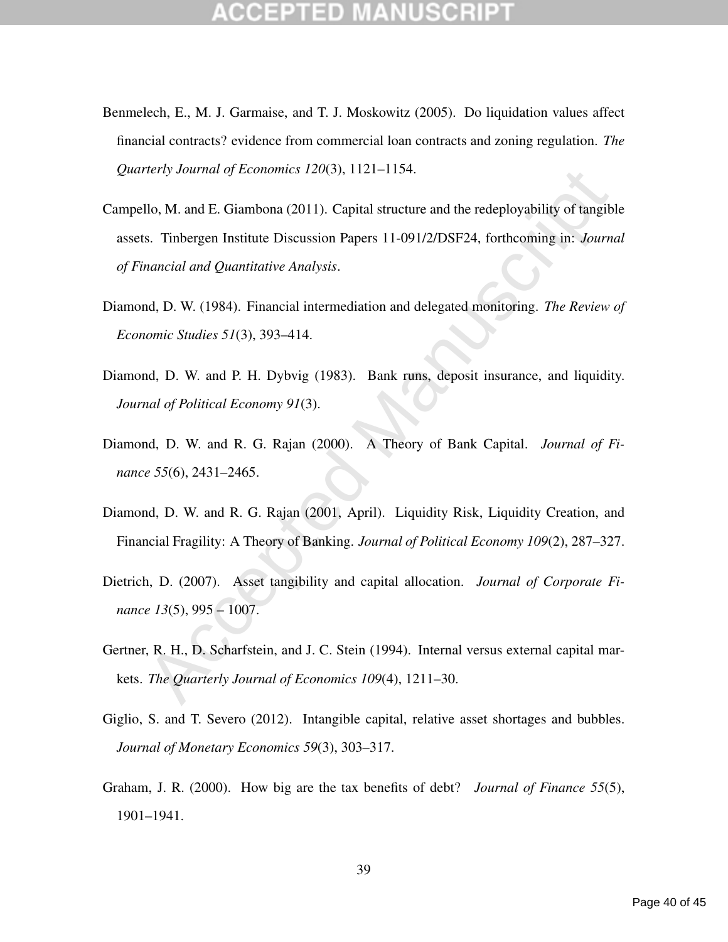- Benmelech, E., M. J. Garmaise, and T. J. Moskowitz (2005). Do liquidation values affect financial contracts? evidence from commercial loan contracts and zoning regulation. *The Quarterly Journal of Economics 120*(3), 1121–1154.
- rterty Journal of Economics 120(3), 1121–1154.<br>
Ilo, M. and E. Giambona (2011). Capital structure and the redeployability of tangibl<br>
S. Tinbergen Institute Discussion Papers 11-091/2/DSF24, fortheoming in: *Journancial a* Campello, M. and E. Giambona (2011). Capital structure and the redeployability of tangible assets. Tinbergen Institute Discussion Papers 11-091/2/DSF24, forthcoming in: *Journal of Financial and Quantitative Analysis*.
- Diamond, D. W. (1984). Financial intermediation and delegated monitoring. *The Review of Economic Studies 51*(3), 393–414.
- Diamond, D. W. and P. H. Dybvig (1983). Bank runs, deposit insurance, and liquidity. *Journal of Political Economy 91*(3).
- Diamond, D. W. and R. G. Rajan (2000). A Theory of Bank Capital. *Journal of Finance 55*(6), 2431–2465.
- Diamond, D. W. and R. G. Rajan (2001, April). Liquidity Risk, Liquidity Creation, and Financial Fragility: A Theory of Banking. *Journal of Political Economy 109*(2), 287–327.
- Dietrich, D. (2007). Asset tangibility and capital allocation. *Journal of Corporate Finance 13*(5), 995 – 1007.
- Gertner, R. H., D. Scharfstein, and J. C. Stein (1994). Internal versus external capital markets. *The Quarterly Journal of Economics 109*(4), 1211–30.
- Giglio, S. and T. Severo (2012). Intangible capital, relative asset shortages and bubbles. *Journal of Monetary Economics 59*(3), 303–317.
- Graham, J. R. (2000). How big are the tax benefits of debt? *Journal of Finance 55*(5), 1901–1941.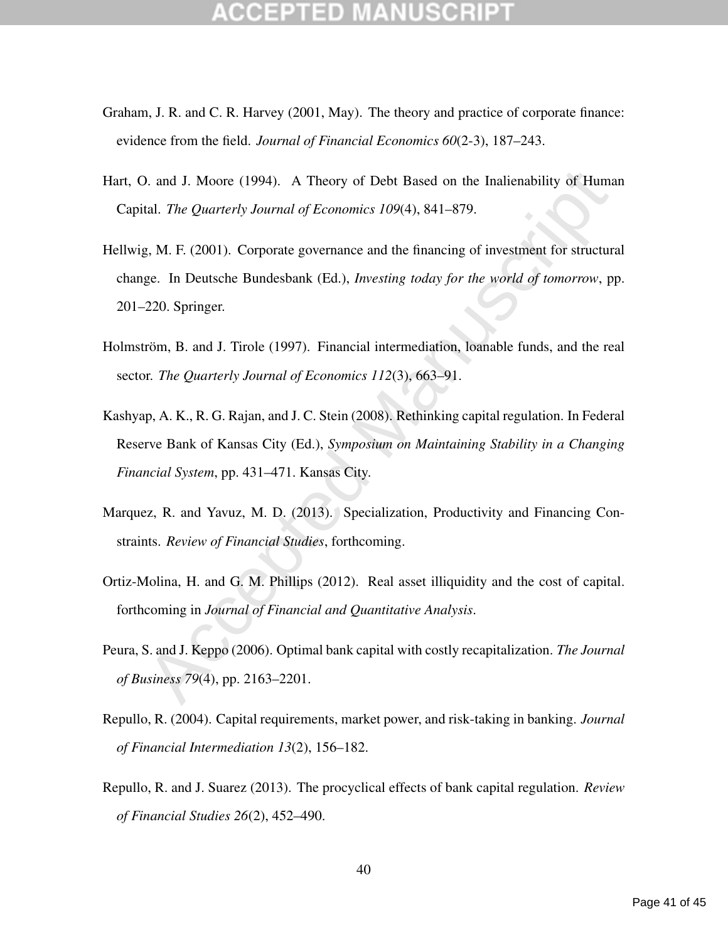- Graham, J. R. and C. R. Harvey (2001, May). The theory and practice of corporate finance: evidence from the field. *Journal of Financial Economics 60*(2-3), 187–243.
- Hart, O. and J. Moore (1994). A Theory of Debt Based on the Inalienability of Human Capital. *The Quarterly Journal of Economics 109*(4), 841–879.
- Hellwig, M. F. (2001). Corporate governance and the financing of investment for structural change. In Deutsche Bundesbank (Ed.), *Investing today for the world of tomorrow*, pp. 201–220. Springer.
- Holmström, B. and J. Tirole (1997). Financial intermediation, loanable funds, and the real sector. *The Quarterly Journal of Economics 112*(3), 663–91.
- b. and J. Moore (1994). A Theory of Debt Based on the Inalienability of Huma<br>tal. The Quarterly Journal of Economics 109(4), 841–879.<br>g, M. F. (2001). Corporate governance and the financing of investment for structure<br>ge. Kashyap, A. K., R. G. Rajan, and J. C. Stein (2008). Rethinking capital regulation. In Federal Reserve Bank of Kansas City (Ed.), *Symposium on Maintaining Stability in a Changing Financial System*, pp. 431–471. Kansas City.
- Marquez, R. and Yavuz, M. D. (2013). Specialization, Productivity and Financing Constraints. *Review of Financial Studies*, forthcoming.
- Ortiz-Molina, H. and G. M. Phillips (2012). Real asset illiquidity and the cost of capital. forthcoming in *Journal of Financial and Quantitative Analysis*.
- Peura, S. and J. Keppo (2006). Optimal bank capital with costly recapitalization. *The Journal of Business 79*(4), pp. 2163–2201.
- Repullo, R. (2004). Capital requirements, market power, and risk-taking in banking. *Journal of Financial Intermediation 13*(2), 156–182.
- Repullo, R. and J. Suarez (2013). The procyclical effects of bank capital regulation. *Review of Financial Studies 26*(2), 452–490.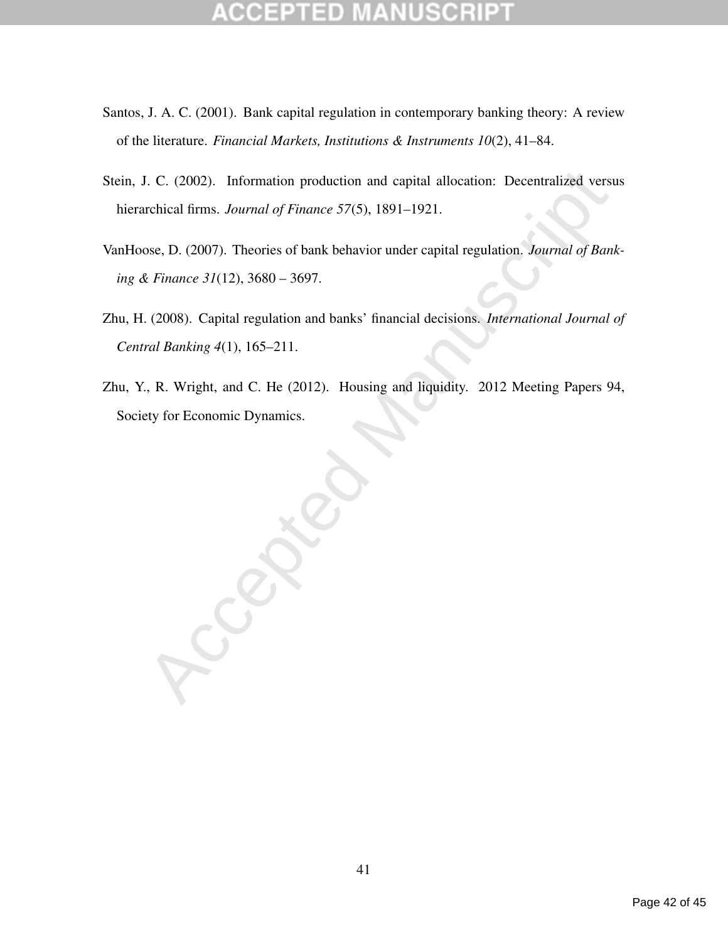- Santos, J. A. C. (2001). Bank capital regulation in contemporary banking theory: A review of the literature. *Financial Markets, Institutions & Instruments 10*(2), 41–84.
- Stein, J. C. (2002). Information production and capital allocation: Decentralized versus hierarchical firms. *Journal of Finance 57*(5), 1891–1921.
- VanHoose, D. (2007). Theories of bank behavior under capital regulation. *Journal of Banking & Finance 31*(12), 3680 – 3697.
- Zhu, H. (2008). Capital regulation and banks' financial decisions. *International Journal of Central Banking 4*(1), 165–211.
- Zhu, Y., R. Wright, and C. He (2012). Housing and liquidity. 2012 Meeting Papers 94, Society for Economic Dynamics.

 $\frac{1}{2}$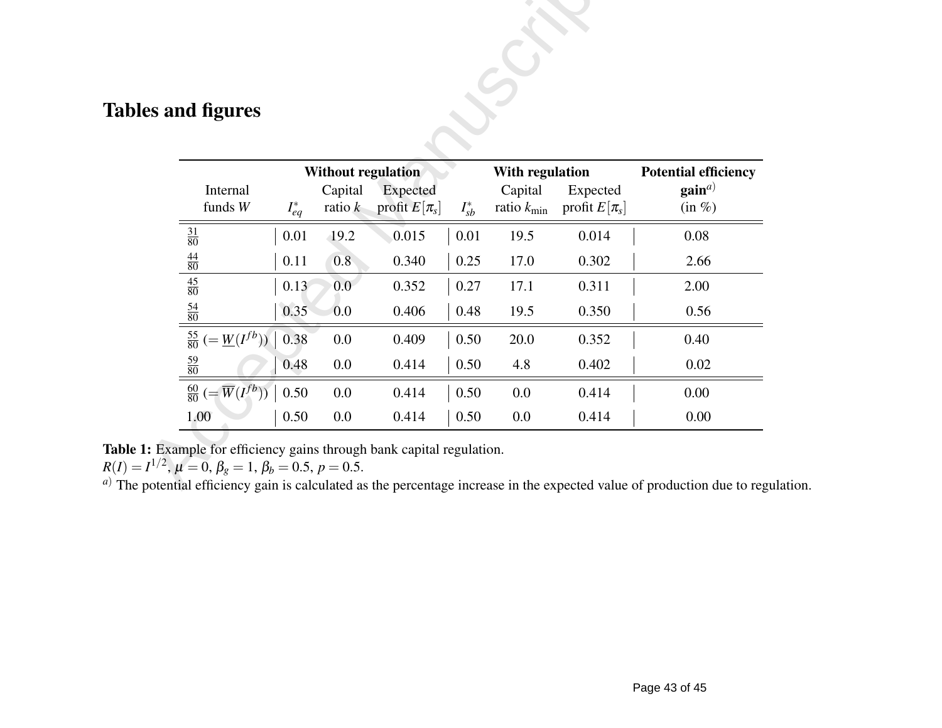| <b>Tables and figures</b>                    |            |                      |                                                            |            |                                                      |                               |                                                         |  |  |  |  |  |
|----------------------------------------------|------------|----------------------|------------------------------------------------------------|------------|------------------------------------------------------|-------------------------------|---------------------------------------------------------|--|--|--|--|--|
| Internal<br>funds $W$                        | $I_{eq}^*$ | Capital<br>ratio $k$ | <b>Without regulation</b><br>Expected<br>profit $E[\pi_s]$ | $I_{sb}^*$ | With regulation<br>Capital<br>ratio $k_{\text{min}}$ | Expected<br>profit $E[\pi_s]$ | <b>Potential efficiency</b><br>$gain^{a)}$<br>$(in \%)$ |  |  |  |  |  |
| $\frac{31}{80}$                              | 0.01       | 19.2                 | 0.015                                                      | 0.01       | 19.5                                                 | 0.014                         | 0.08                                                    |  |  |  |  |  |
| $\frac{44}{80}$                              | 0.11       | 0.8                  | 0.340                                                      | 0.25       | 17.0                                                 | 0.302                         | 2.66                                                    |  |  |  |  |  |
| $\frac{45}{80}$                              | 0.13       | 0.0                  | 0.352                                                      | 0.27       | 17.1                                                 | 0.311                         | 2.00                                                    |  |  |  |  |  |
| $\frac{54}{80}$                              | 0.35       | 0.0                  | 0.406                                                      | 0.48       | 19.5                                                 | 0.350                         | 0.56                                                    |  |  |  |  |  |
| $\frac{55}{80}$ (= $\underline{W}(I^{fb})$ ) | 0.38       | 0.0                  | 0.409                                                      | 0.50       | 20.0                                                 | 0.352                         | 0.40                                                    |  |  |  |  |  |
| $\frac{59}{80}$                              | 0.48       | 0.0                  | 0.414                                                      | 0.50       | 4.8                                                  | 0.402                         | 0.02                                                    |  |  |  |  |  |
| $\frac{60}{80}$ (= $\overline{W}(I^{fb})$ )  | 0.50       | 0.0                  | 0.414                                                      | 0.50       | 0.0                                                  | 0.414                         | 0.00                                                    |  |  |  |  |  |
| 1.00                                         | 0.50       | 0.0                  | 0.414                                                      | 0.50       | 0.0                                                  | 0.414                         | 0.00                                                    |  |  |  |  |  |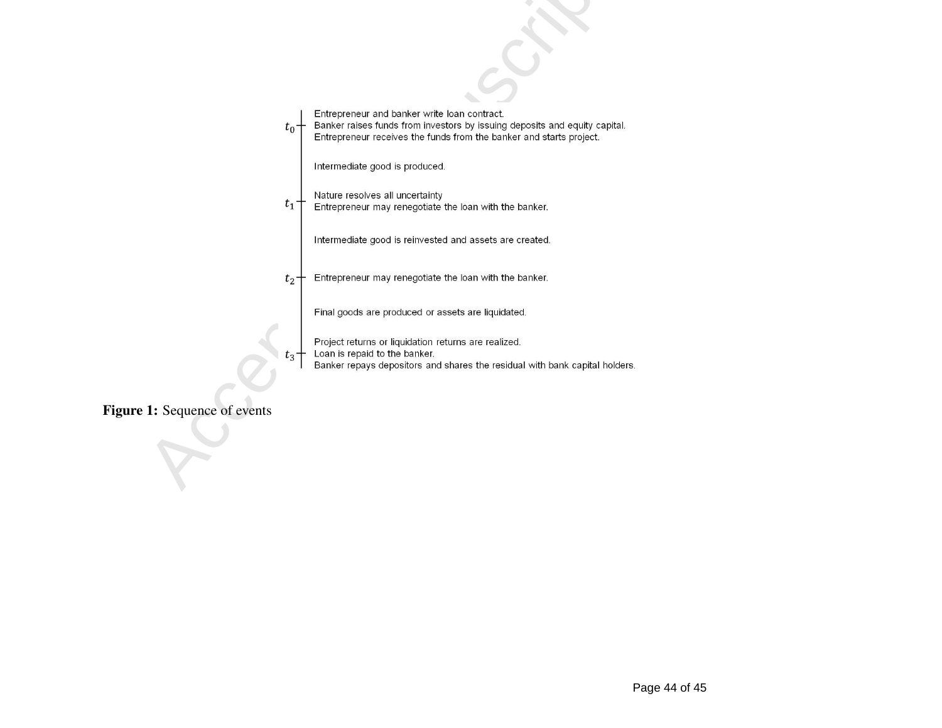